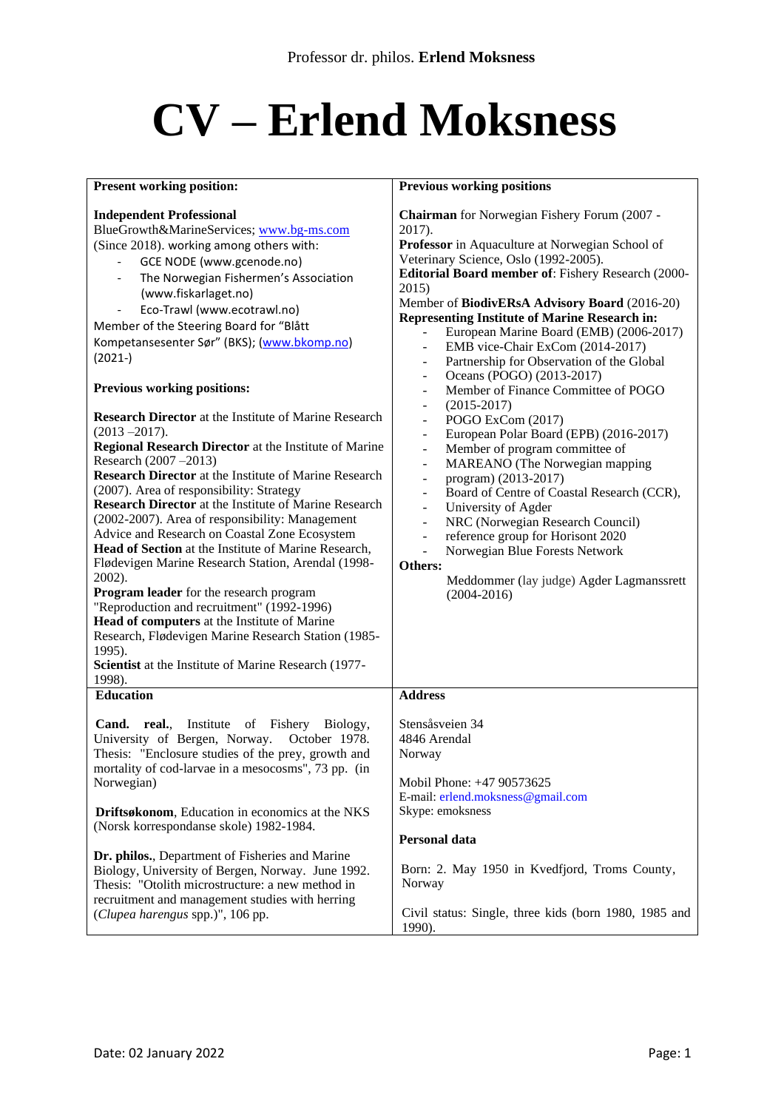# **CV – Erlend Moksness**

| <b>Present working position:</b>                                                                                                                                                                                                                                                                                                                                                                                                                                                                                                                                                                                                                                                                                                                                                                                                                                                                                                                                                                                                                                                                                                                                                                                                                               | <b>Previous working positions</b>                                                                                                                                                                                                                                                                                                                                                                                                                                                                                                                                                                                                                                                                                                                                                                                                                                                                                                                                                                                                                                                                                                                                                                                                                      |  |
|----------------------------------------------------------------------------------------------------------------------------------------------------------------------------------------------------------------------------------------------------------------------------------------------------------------------------------------------------------------------------------------------------------------------------------------------------------------------------------------------------------------------------------------------------------------------------------------------------------------------------------------------------------------------------------------------------------------------------------------------------------------------------------------------------------------------------------------------------------------------------------------------------------------------------------------------------------------------------------------------------------------------------------------------------------------------------------------------------------------------------------------------------------------------------------------------------------------------------------------------------------------|--------------------------------------------------------------------------------------------------------------------------------------------------------------------------------------------------------------------------------------------------------------------------------------------------------------------------------------------------------------------------------------------------------------------------------------------------------------------------------------------------------------------------------------------------------------------------------------------------------------------------------------------------------------------------------------------------------------------------------------------------------------------------------------------------------------------------------------------------------------------------------------------------------------------------------------------------------------------------------------------------------------------------------------------------------------------------------------------------------------------------------------------------------------------------------------------------------------------------------------------------------|--|
| <b>Independent Professional</b><br>BlueGrowth&MarineServices www.bg-ms.com<br>(Since 2018). working among others with:<br>GCE NODE (www.gcenode.no)<br>The Norwegian Fishermen's Association<br>(www.fiskarlaget.no)<br>Eco-Trawl (www.ecotrawl.no)<br>Member of the Steering Board for "Blått<br>Kompetansesenter Sør" (BKS); (www.bkomp.no)<br>$(2021 - )$<br><b>Previous working positions:</b><br><b>Research Director</b> at the Institute of Marine Research<br>$(2013 - 2017)$ .<br>Regional Research Director at the Institute of Marine<br>Research (2007 - 2013)<br><b>Research Director</b> at the Institute of Marine Research<br>(2007). Area of responsibility: Strategy<br><b>Research Director</b> at the Institute of Marine Research<br>(2002-2007). Area of responsibility: Management<br>Advice and Research on Coastal Zone Ecosystem<br>Head of Section at the Institute of Marine Research,<br>Flødevigen Marine Research Station, Arendal (1998-<br>2002).<br>Program leader for the research program<br>"Reproduction and recruitment" (1992-1996)<br>Head of computers at the Institute of Marine<br>Research, Flødevigen Marine Research Station (1985-<br>1995).<br>Scientist at the Institute of Marine Research (1977-<br>1998). | Chairman for Norwegian Fishery Forum (2007 -<br>2017).<br>Professor in Aquaculture at Norwegian School of<br>Veterinary Science, Oslo (1992-2005).<br><b>Editorial Board member of: Fishery Research (2000-</b><br>2015)<br>Member of BiodivERsA Advisory Board (2016-20)<br><b>Representing Institute of Marine Research in:</b><br>European Marine Board (EMB) (2006-2017)<br>EMB vice-Chair ExCom (2014-2017)<br>Partnership for Observation of the Global<br>Oceans (POGO) (2013-2017)<br>$\overline{\phantom{a}}$<br>Member of Finance Committee of POGO<br>$\overline{\phantom{m}}$<br>$(2015 - 2017)$<br>$\overline{\phantom{a}}$<br>POGO ExCom (2017)<br>$\blacksquare$<br>European Polar Board (EPB) (2016-2017)<br>$\overline{\phantom{a}}$<br>Member of program committee of<br>$\blacksquare$<br>MAREANO (The Norwegian mapping<br>$\blacksquare$<br>program) (2013-2017)<br>-<br>Board of Centre of Coastal Research (CCR),<br>$\blacksquare$<br>University of Agder<br>Ξ,<br>NRC (Norwegian Research Council)<br>$\overline{\phantom{a}}$<br>reference group for Horisont 2020<br>$\blacksquare$<br>Norwegian Blue Forests Network<br>$\overline{\phantom{a}}$<br>Others:<br>Meddommer (lay judge) Agder Lagmanssrett<br>$(2004 - 2016)$ |  |
| <b>Education</b>                                                                                                                                                                                                                                                                                                                                                                                                                                                                                                                                                                                                                                                                                                                                                                                                                                                                                                                                                                                                                                                                                                                                                                                                                                               | <b>Address</b>                                                                                                                                                                                                                                                                                                                                                                                                                                                                                                                                                                                                                                                                                                                                                                                                                                                                                                                                                                                                                                                                                                                                                                                                                                         |  |
| Cand.<br>Institute of Fishery<br>real<br>Biology,<br>University of Bergen, Norway. October 1978.<br>Thesis: "Enclosure studies of the prey, growth and<br>mortality of cod-larvae in a mesocosms", 73 pp. (in<br>Norwegian)<br>Driftsøkonom, Education in economics at the NKS<br>(Norsk korrespondanse skole) 1982-1984.                                                                                                                                                                                                                                                                                                                                                                                                                                                                                                                                                                                                                                                                                                                                                                                                                                                                                                                                      | Stensåsveien 34<br>4846 Arendal<br>Norway<br>Mobil Phone: +47 90573625<br>E-mail: erlend.moksness@gmail.com<br>Skype: emoksness                                                                                                                                                                                                                                                                                                                                                                                                                                                                                                                                                                                                                                                                                                                                                                                                                                                                                                                                                                                                                                                                                                                        |  |
|                                                                                                                                                                                                                                                                                                                                                                                                                                                                                                                                                                                                                                                                                                                                                                                                                                                                                                                                                                                                                                                                                                                                                                                                                                                                | Personal data                                                                                                                                                                                                                                                                                                                                                                                                                                                                                                                                                                                                                                                                                                                                                                                                                                                                                                                                                                                                                                                                                                                                                                                                                                          |  |
| Dr. philos., Department of Fisheries and Marine<br>Biology, University of Bergen, Norway. June 1992.<br>Thesis: "Otolith microstructure: a new method in<br>recruitment and management studies with herring                                                                                                                                                                                                                                                                                                                                                                                                                                                                                                                                                                                                                                                                                                                                                                                                                                                                                                                                                                                                                                                    | Born: 2. May 1950 in Kvedfjord, Troms County,<br>Norway                                                                                                                                                                                                                                                                                                                                                                                                                                                                                                                                                                                                                                                                                                                                                                                                                                                                                                                                                                                                                                                                                                                                                                                                |  |
| (Clupea harengus spp.)", 106 pp.                                                                                                                                                                                                                                                                                                                                                                                                                                                                                                                                                                                                                                                                                                                                                                                                                                                                                                                                                                                                                                                                                                                                                                                                                               | Civil status: Single, three kids (born 1980, 1985 and<br>1990).                                                                                                                                                                                                                                                                                                                                                                                                                                                                                                                                                                                                                                                                                                                                                                                                                                                                                                                                                                                                                                                                                                                                                                                        |  |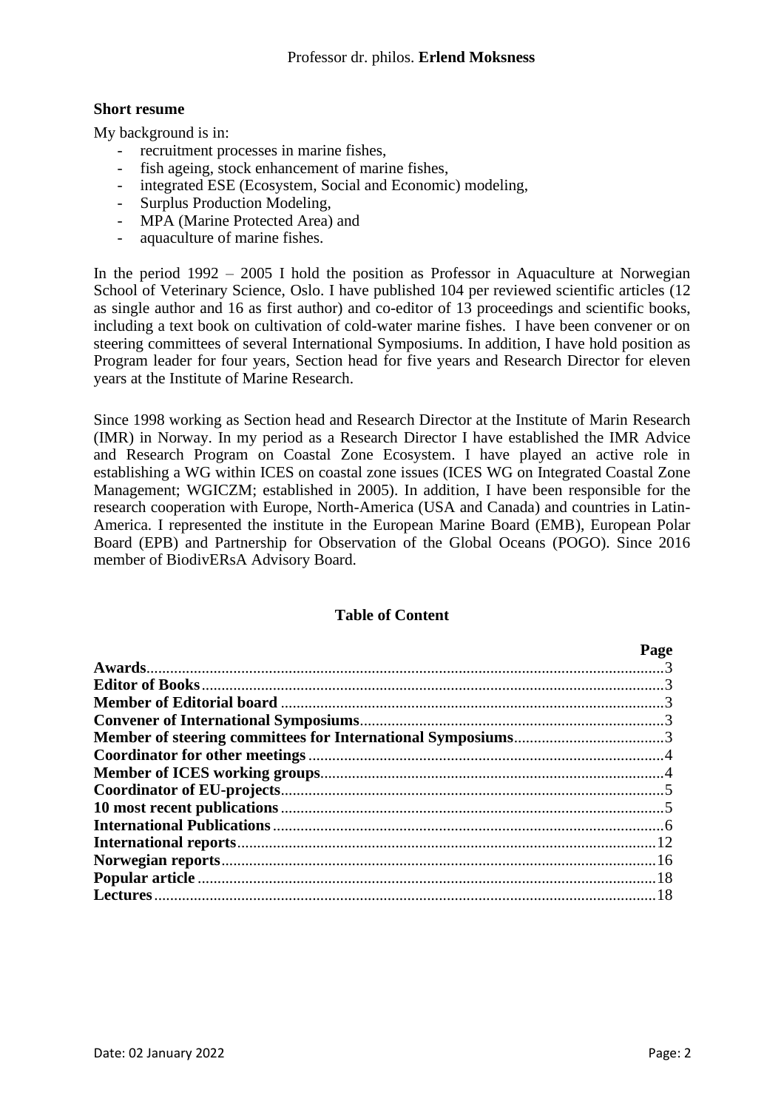#### **Short resume**

My background is in:

- recruitment processes in marine fishes,
- fish ageing, stock enhancement of marine fishes,
- integrated ESE (Ecosystem, Social and Economic) modeling,
- Surplus Production Modeling.
- MPA (Marine Protected Area) and
- aquaculture of marine fishes.

In the period  $1992 - 2005$  I hold the position as Professor in Aquaculture at Norwegian School of Veterinary Science, Oslo. I have published 104 per reviewed scientific articles (12 as single author and 16 as first author) and co-editor of 13 proceedings and scientific books, including a text book on cultivation of cold-water marine fishes. I have been convener or on steering committees of several International Symposiums. In addition, I have hold position as Program leader for four years, Section head for five years and Research Director for eleven years at the Institute of Marine Research.

Since 1998 working as Section head and Research Director at the Institute of Marin Research (IMR) in Norway. In my period as a Research Director I have established the IMR Advice and Research Program on Coastal Zone Ecosystem. I have played an active role in establishing a WG within ICES on coastal zone issues (ICES WG on Integrated Coastal Zone Management; WGICZM; established in 2005). In addition, I have been responsible for the research cooperation with Europe, North-America (USA and Canada) and countries in Latin-America. I represented the institute in the European Marine Board (EMB), European Polar Board (EPB) and Partnership for Observation of the Global Oceans (POGO). Since 2016 member of BiodivERsA Advisory Board.

#### **Table of Content**

| Page |
|------|
|      |
|      |
|      |
|      |
|      |
|      |
|      |
|      |
|      |
|      |
|      |
|      |
|      |
|      |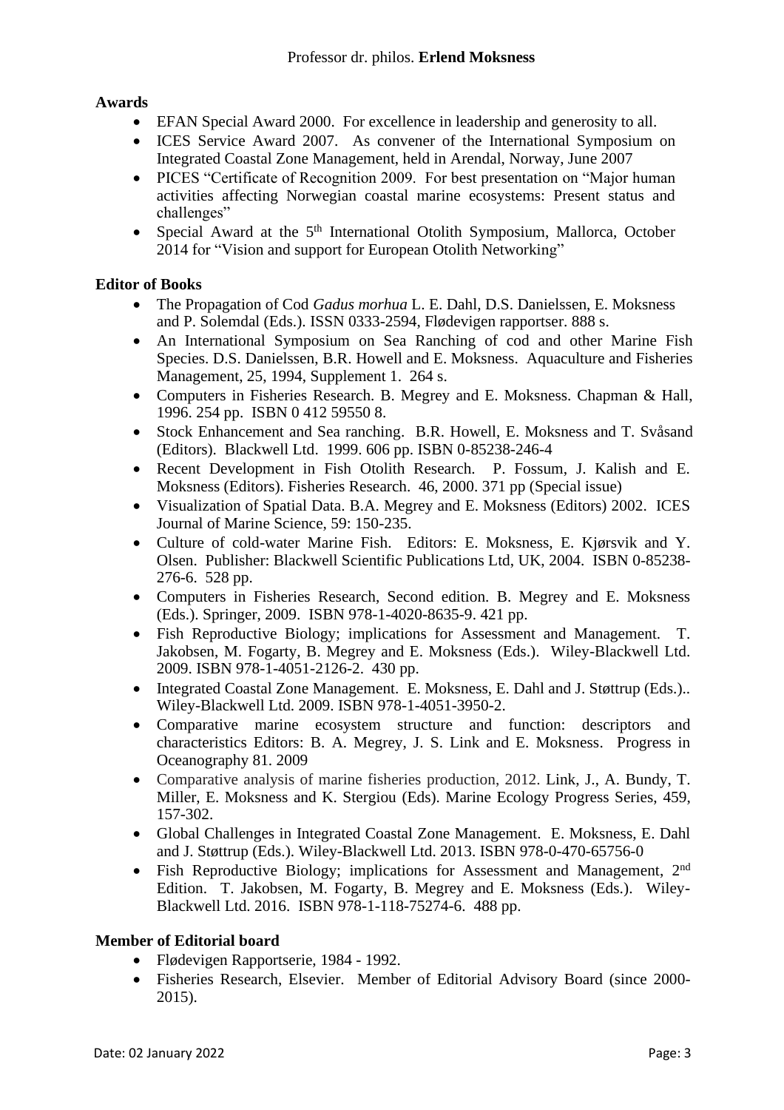## **Awards**

- EFAN Special Award 2000. For excellence in leadership and generosity to all.
- ICES Service Award 2007. As convener of the International Symposium on Integrated Coastal Zone Management, held in Arendal, Norway, June 2007
- PICES "Certificate of Recognition 2009. For best presentation on "Major human" activities affecting Norwegian coastal marine ecosystems: Present status and challenges"
- Special Award at the  $5<sup>th</sup>$  International Otolith Symposium, Mallorca, October 2014 for "Vision and support for European Otolith Networking"

# **Editor of Books**

- The Propagation of Cod *Gadus morhua* L. E. Dahl, D.S. Danielssen, E. Moksness and P. Solemdal (Eds.). ISSN 0333-2594, Flødevigen rapportser. 888 s.
- An International Symposium on Sea Ranching of cod and other Marine Fish Species. D.S. Danielssen, B.R. Howell and E. Moksness. Aquaculture and Fisheries Management, 25, 1994, Supplement 1. 264 s.
- Computers in Fisheries Research. B. Megrey and E. Moksness. Chapman & Hall, 1996. 254 pp. ISBN 0 412 59550 8.
- Stock Enhancement and Sea ranching. B.R. Howell, E. Moksness and T. Svåsand (Editors). Blackwell Ltd. 1999. 606 pp. ISBN 0-85238-246-4
- Recent Development in Fish Otolith Research. P. Fossum, J. Kalish and E. Moksness (Editors). Fisheries Research. 46, 2000. 371 pp (Special issue)
- Visualization of Spatial Data. B.A. Megrey and E. Moksness (Editors) 2002. ICES Journal of Marine Science, 59: 150-235.
- Culture of cold-water Marine Fish. Editors: E. Moksness, E. Kjørsvik and Y. Olsen. Publisher: Blackwell Scientific Publications Ltd, UK, 2004. ISBN 0-85238- 276-6. 528 pp.
- Computers in Fisheries Research, Second edition. B. Megrey and E. Moksness (Eds.). Springer, 2009. ISBN 978-1-4020-8635-9. 421 pp.
- Fish Reproductive Biology; implications for Assessment and Management. T. Jakobsen, M. Fogarty, B. Megrey and E. Moksness (Eds.). Wiley-Blackwell Ltd. 2009. ISBN 978-1-4051-2126-2. 430 pp.
- Integrated Coastal Zone Management. E. Moksness, E. Dahl and J. Støttrup (Eds.).. Wiley-Blackwell Ltd. 2009. ISBN 978-1-4051-3950-2.
- Comparative marine ecosystem structure and function: descriptors and characteristics Editors: B. A. Megrey, J. S. Link and E. Moksness. Progress in Oceanography 81. 2009
- Comparative analysis of marine fisheries production, 2012. Link, J., A. Bundy, T. Miller, E. Moksness and K. Stergiou (Eds). Marine Ecology Progress Series, 459, 157-302.
- Global Challenges in Integrated Coastal Zone Management. E. Moksness, E. Dahl and J. Støttrup (Eds.). Wiley-Blackwell Ltd. 2013. ISBN 978-0-470-65756-0
- Fish Reproductive Biology; implications for Assessment and Management, 2<sup>nd</sup> Edition. T. Jakobsen, M. Fogarty, B. Megrey and E. Moksness (Eds.). Wiley-Blackwell Ltd. 2016. ISBN 978-1-118-75274-6. 488 pp.

# **Member of Editorial board**

- Flødevigen Rapportserie, 1984 1992.
- Fisheries Research, Elsevier. Member of Editorial Advisory Board (since 2000- 2015).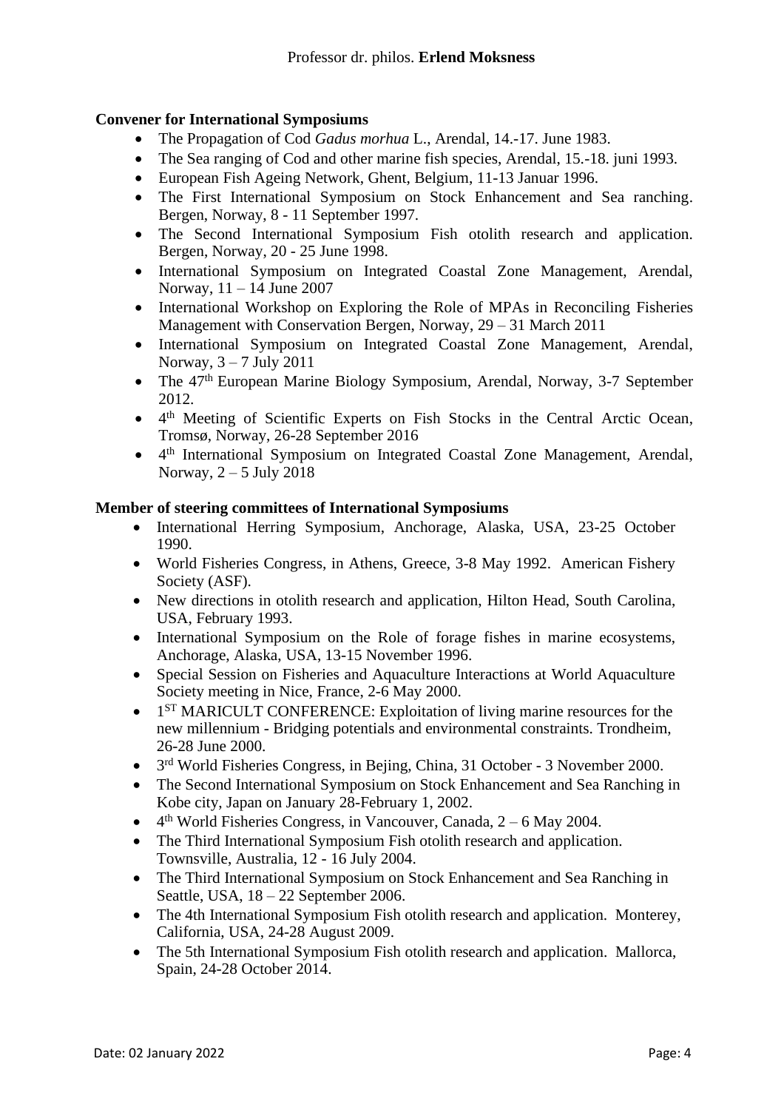## **Convener for International Symposiums**

- The Propagation of Cod *Gadus morhua* L., Arendal, 14.-17. June 1983.
- The Sea ranging of Cod and other marine fish species, Arendal, 15.-18. juni 1993.
- European Fish Ageing Network, Ghent, Belgium, 11-13 Januar 1996.
- The First International Symposium on Stock Enhancement and Sea ranching. Bergen, Norway, 8 - 11 September 1997.
- The Second International Symposium Fish otolith research and application. Bergen, Norway, 20 - 25 June 1998.
- International Symposium on Integrated Coastal Zone Management, Arendal, Norway, 11 – 14 June 2007
- International Workshop on Exploring the Role of MPAs in Reconciling Fisheries Management with Conservation Bergen, Norway, 29 – 31 March 2011
- International Symposium on Integrated Coastal Zone Management, Arendal, Norway, 3 – 7 July 2011
- The 47<sup>th</sup> European Marine Biology Symposium, Arendal, Norway, 3-7 September 2012.
- 4<sup>th</sup> Meeting of Scientific Experts on Fish Stocks in the Central Arctic Ocean, Tromsø, Norway, 26-28 September 2016
- 4<sup>th</sup> International Symposium on Integrated Coastal Zone Management, Arendal, Norway,  $2 - 5$  July 2018

#### **Member of steering committees of International Symposiums**

- International Herring Symposium, Anchorage, Alaska, USA, 23-25 October 1990.
- World Fisheries Congress, in Athens, Greece, 3-8 May 1992. American Fishery Society (ASF).
- New directions in otolith research and application, Hilton Head, South Carolina, USA, February 1993.
- International Symposium on the Role of forage fishes in marine ecosystems, Anchorage, Alaska, USA, 13-15 November 1996.
- Special Session on Fisheries and Aquaculture Interactions at World Aquaculture Society meeting in Nice, France, 2-6 May 2000.
- $\bullet$  1<sup>ST</sup> MARICULT CONFERENCE: Exploitation of living marine resources for the new millennium - Bridging potentials and environmental constraints. Trondheim, 26-28 June 2000.
- 3<sup>rd</sup> World Fisheries Congress, in Bejing, China, 31 October 3 November 2000.
- The Second International Symposium on Stock Enhancement and Sea Ranching in Kobe city, Japan on January 28-February 1, 2002.
- $\bullet$  4<sup>th</sup> World Fisheries Congress, in Vancouver, Canada, 2 6 May 2004.
- The Third International Symposium Fish otolith research and application. Townsville, Australia, 12 - 16 July 2004.
- The Third International Symposium on Stock Enhancement and Sea Ranching in Seattle, USA, 18 – 22 September 2006.
- The 4th International Symposium Fish otolith research and application. Monterey, California, USA, 24-28 August 2009.
- The 5th International Symposium Fish otolith research and application. Mallorca, Spain, 24-28 October 2014.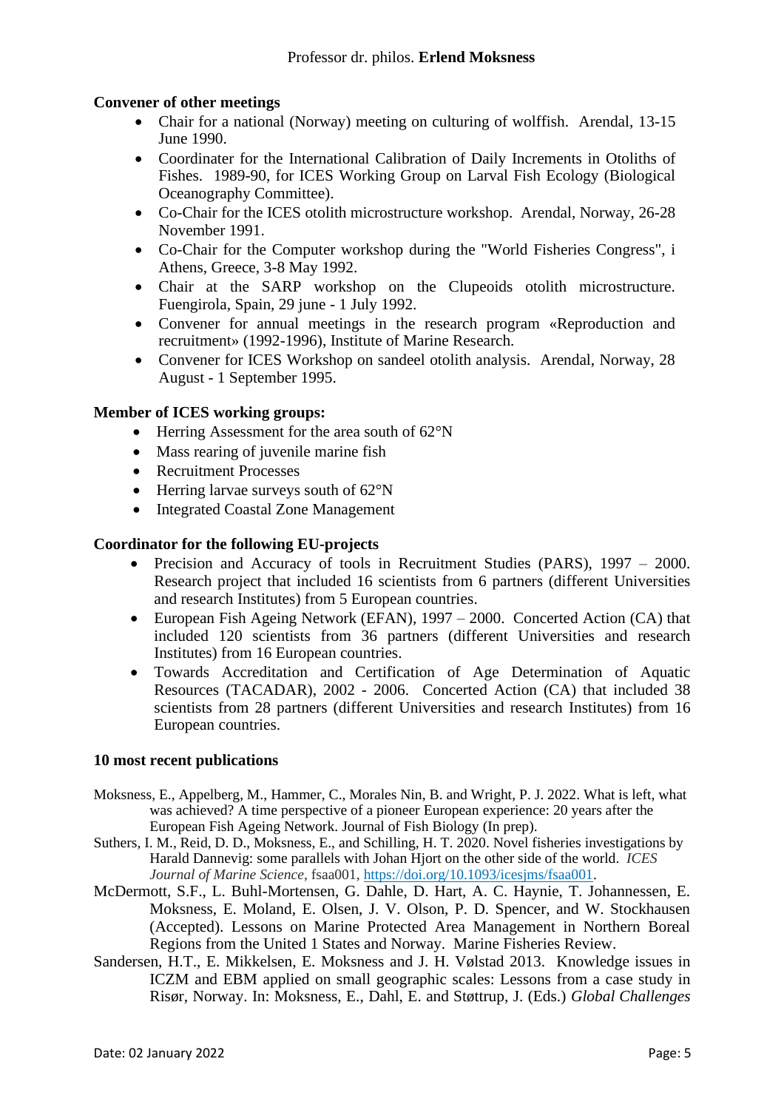## **Convener of other meetings**

- Chair for a national (Norway) meeting on culturing of wolffish. Arendal, 13-15 June 1990.
- Coordinater for the International Calibration of Daily Increments in Otoliths of Fishes. 1989-90, for ICES Working Group on Larval Fish Ecology (Biological Oceanography Committee).
- Co-Chair for the ICES otolith microstructure workshop. Arendal, Norway, 26-28 November 1991.
- Co-Chair for the Computer workshop during the "World Fisheries Congress", i Athens, Greece, 3-8 May 1992.
- Chair at the SARP workshop on the Clupeoids otolith microstructure. Fuengirola, Spain, 29 june - 1 July 1992.
- Convener for annual meetings in the research program «Reproduction and recruitment» (1992-1996), Institute of Marine Research.
- Convener for ICES Workshop on sandeel otolith analysis. Arendal, Norway, 28 August - 1 September 1995.

### **Member of ICES working groups:**

- Herring Assessment for the area south of 62°N
- Mass rearing of juvenile marine fish
- Recruitment Processes
- Herring larvae surveys south of 62°N
- Integrated Coastal Zone Management

#### **Coordinator for the following EU-projects**

- Precision and Accuracy of tools in Recruitment Studies (PARS), 1997 2000. Research project that included 16 scientists from 6 partners (different Universities and research Institutes) from 5 European countries.
- European Fish Ageing Network (EFAN), 1997 2000. Concerted Action (CA) that included 120 scientists from 36 partners (different Universities and research Institutes) from 16 European countries.
- Towards Accreditation and Certification of Age Determination of Aquatic Resources (TACADAR), 2002 - 2006. Concerted Action (CA) that included 38 scientists from 28 partners (different Universities and research Institutes) from 16 European countries.

#### **10 most recent publications**

- Moksness, E., Appelberg, M., Hammer, C., Morales Nin, B. and Wright, P. J. 2022. What is left, what was achieved? A time perspective of a pioneer European experience: 20 years after the European Fish Ageing Network. Journal of Fish Biology (In prep).
- Suthers, I. M., Reid, D. D., Moksness, E., and Schilling, H. T. 2020. Novel fisheries investigations by Harald Dannevig: some parallels with Johan Hjort on the other side of the world. *ICES Journal of Marine Science*, fsaa001, [https://doi.org/10.1093/icesjms/fsaa001.](https://doi.org/10.1093/icesjms/fsaa001)
- McDermott, S.F., L. Buhl-Mortensen, G. Dahle, D. Hart, A. C. Haynie, T. Johannessen, E. Moksness, E. Moland, E. Olsen, J. V. Olson, P. D. Spencer, and W. Stockhausen (Accepted). Lessons on Marine Protected Area Management in Northern Boreal Regions from the United 1 States and Norway. Marine Fisheries Review.
- Sandersen, H.T., E. Mikkelsen, E. Moksness and J. H. Vølstad 2013. Knowledge issues in ICZM and EBM applied on small geographic scales: Lessons from a case study in Risør, Norway. In: Moksness, E., Dahl, E. and Støttrup, J. (Eds.) *Global Challenges*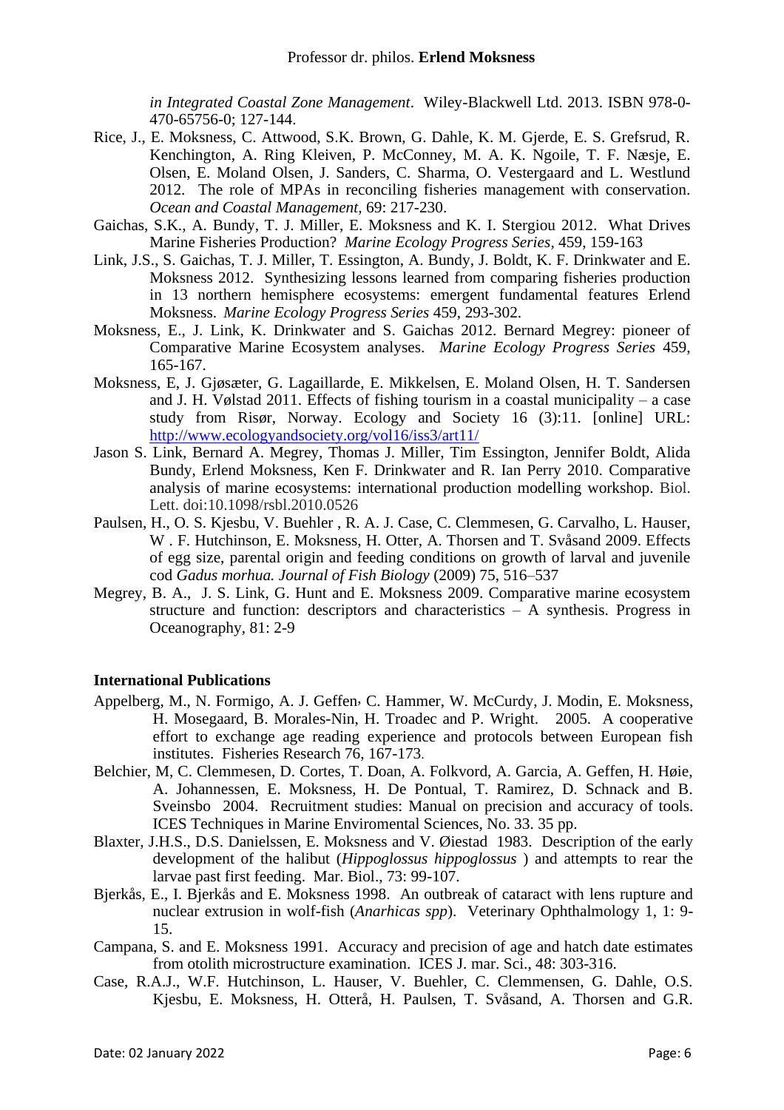*in Integrated Coastal Zone Management*. Wiley-Blackwell Ltd. 2013. ISBN 978-0- 470-65756-0; 127-144.

- Rice, J., E. Moksness, C. Attwood, S.K. Brown, G. Dahle, K. M. Gjerde, E. S. Grefsrud, R. Kenchington, A. Ring Kleiven, P. McConney, M. A. K. Ngoile, T. F. Næsje, E. Olsen, E. Moland Olsen, J. Sanders, C. Sharma, O. Vestergaard and L. Westlund 2012. The role of MPAs in reconciling fisheries management with conservation. *Ocean and Coastal Management,* 69: 217-230.
- Gaichas, S.K., A. Bundy, T. J. Miller, E. Moksness and K. I. Stergiou 2012. What Drives Marine Fisheries Production? *Marine Ecology Progress Series*, 459, 159-163
- Link, J.S., S. Gaichas, T. J. Miller, T. Essington, A. Bundy, J. Boldt, K. F. Drinkwater and E. Moksness 2012. Synthesizing lessons learned from comparing fisheries production in 13 northern hemisphere ecosystems: emergent fundamental features Erlend Moksness. *Marine Ecology Progress Series* 459, 293-302.
- Moksness, E., J. Link, K. Drinkwater and S. Gaichas 2012. Bernard Megrey: pioneer of Comparative Marine Ecosystem analyses. *Marine Ecology Progress Series* 459, 165-167.
- Moksness, E, J. Gjøsæter, G. Lagaillarde, E. Mikkelsen, E. Moland Olsen, H. T. Sandersen and J. H. Vølstad 2011. Effects of fishing tourism in a coastal municipality – a case study from Risør, Norway. Ecology and Society 16 (3):11. [online] URL: <http://www.ecologyandsociety.org/vol16/iss3/art11/>
- Jason S. Link, Bernard A. Megrey, Thomas J. Miller, Tim Essington, Jennifer Boldt, Alida Bundy, Erlend Moksness, Ken F. Drinkwater and R. Ian Perry 2010. Comparative analysis of marine ecosystems: international production modelling workshop. Biol. Lett. doi:10.1098/rsbl.2010.0526
- Paulsen, H., O. S. Kjesbu, V. Buehler , R. A. J. Case, C. Clemmesen, G. Carvalho, L. Hauser, W . F. Hutchinson, E. Moksness, H. Otter, A. Thorsen and T. Svåsand 2009. Effects of egg size, parental origin and feeding conditions on growth of larval and juvenile cod *Gadus morhua. Journal of Fish Biology* (2009) 75, 516–537
- Megrey, B. A., J. S. Link, G. Hunt and E. Moksness 2009. Comparative marine ecosystem structure and function: descriptors and characteristics – A synthesis. Progress in Oceanography, 81: 2-9

#### **International Publications**

- Appelberg, M., N. Formigo, A. J. Geffen, C. Hammer, W. McCurdy, J. Modin, E. Moksness, H. Mosegaard, B. Morales-Nin, H. Troadec and P. Wright. 2005. A cooperative effort to exchange age reading experience and protocols between European fish institutes. Fisheries Research 76, 167-173.
- Belchier, M, C. Clemmesen, D. Cortes, T. Doan, A. Folkvord, A. Garcia, A. Geffen, H. Høie, A. Johannessen, E. Moksness, H. De Pontual, T. Ramirez, D. Schnack and B. Sveinsbo 2004. Recruitment studies: Manual on precision and accuracy of tools. ICES Techniques in Marine Enviromental Sciences, No. 33. 35 pp.
- Blaxter, J.H.S., D.S. Danielssen, E. Moksness and V. Øiestad 1983. Description of the early development of the halibut (*Hippoglossus hippoglossus* ) and attempts to rear the larvae past first feeding. Mar. Biol., 73: 99-107.
- Bjerkås, E., I. Bjerkås and E. Moksness 1998. An outbreak of cataract with lens rupture and nuclear extrusion in wolf-fish (*Anarhicas spp*). Veterinary Ophthalmology 1, 1: 9- 15.
- Campana, S. and E. Moksness 1991. Accuracy and precision of age and hatch date estimates from otolith microstructure examination. ICES J. mar. Sci., 48: 303-316.
- Case, R.A.J., W.F. Hutchinson, L. Hauser, V. Buehler, C. Clemmensen, G. Dahle, O.S. Kjesbu, E. Moksness, H. Otterå, H. Paulsen, T. Svåsand, A. Thorsen and G.R.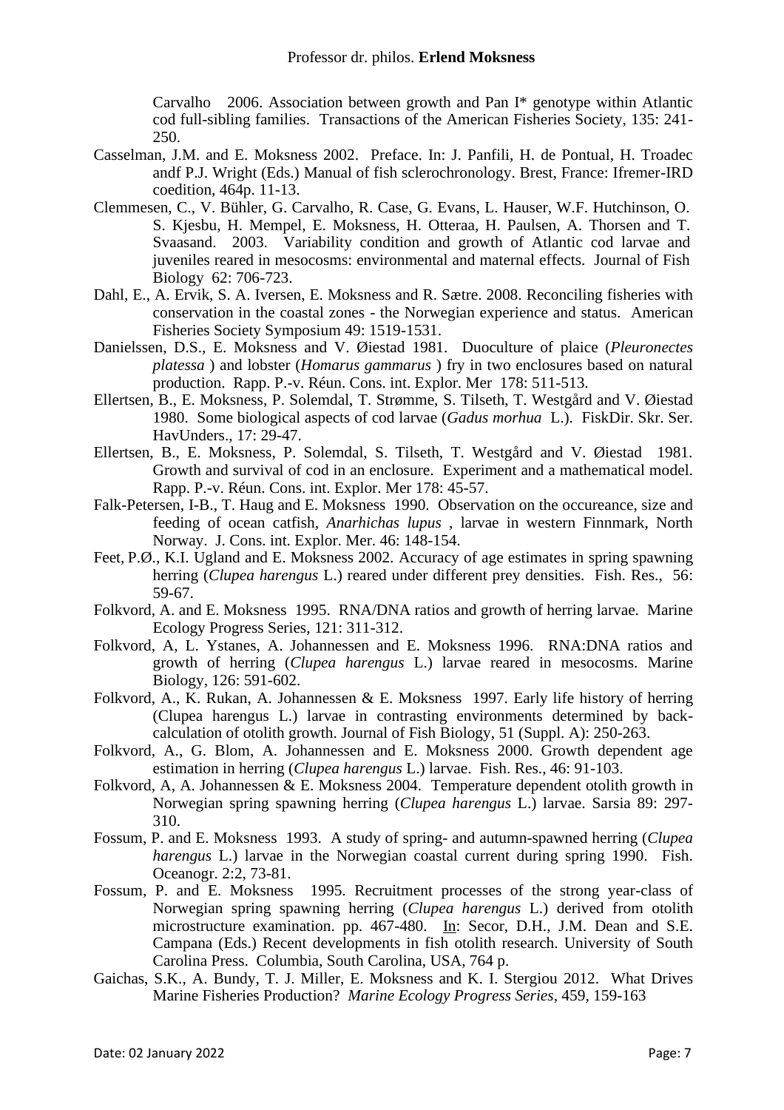Carvalho 2006. Association between growth and Pan I\* genotype within Atlantic cod full-sibling families. Transactions of the American Fisheries Society, 135: 241- 250.

- Casselman, J.M. and E. Moksness 2002. Preface. In: J. Panfili, H. de Pontual, H. Troadec andf P.J. Wright (Eds.) Manual of fish sclerochronology. Brest, France: Ifremer-IRD coedition, 464p. 11-13.
- Clemmesen, C., V. Bühler, G. Carvalho, R. Case, G. Evans, L. Hauser, W.F. Hutchinson, O. S. Kjesbu, H. Mempel, E. Moksness, H. Otteraa, H. Paulsen, A. Thorsen and T. Svaasand. 2003. Variability condition and growth of Atlantic cod larvae and juveniles reared in mesocosms: environmental and maternal effects. Journal of Fish Biology 62: 706-723.
- Dahl, E., A. Ervik, S. A. Iversen, E. Moksness and R. Sætre. 2008. Reconciling fisheries with conservation in the coastal zones - the Norwegian experience and status. American Fisheries Society Symposium 49: 1519-1531.
- Danielssen, D.S., E. Moksness and V. Øiestad 1981. Duoculture of plaice (*Pleuronectes platessa* ) and lobster (*Homarus gammarus* ) fry in two enclosures based on natural production. Rapp. P.-v. Réun. Cons. int. Explor. Mer 178: 511-513.
- Ellertsen, B., E. Moksness, P. Solemdal, T. Strømme, S. Tilseth, T. Westgård and V. Øiestad 1980. Some biological aspects of cod larvae (*Gadus morhua* L.). FiskDir. Skr. Ser. HavUnders., 17: 29-47.
- Ellertsen, B., E. Moksness, P. Solemdal, S. Tilseth, T. Westgård and V. Øiestad 1981. Growth and survival of cod in an enclosure. Experiment and a mathematical model. Rapp. P.-v. Réun. Cons. int. Explor. Mer 178: 45-57.
- Falk-Petersen, I-B., T. Haug and E. Moksness 1990. Observation on the occureance, size and feeding of ocean catfish, *Anarhichas lupus* , larvae in western Finnmark, North Norway. J. Cons. int. Explor. Mer. 46: 148-154.
- Feet, P.Ø., K.I. Ugland and E. Moksness 2002. Accuracy of age estimates in spring spawning herring (*Clupea harengus* L.) reared under different prey densities. Fish. Res., 56: 59-67.
- Folkvord, A. and E. Moksness 1995. RNA/DNA ratios and growth of herring larvae. Marine Ecology Progress Series, 121: 311-312.
- Folkvord, A, L. Ystanes, A. Johannessen and E. Moksness 1996. RNA:DNA ratios and growth of herring (*Clupea harengus* L.) larvae reared in mesocosms. Marine Biology, 126: 591-602.
- Folkvord, A., K. Rukan, A. Johannessen & E. Moksness 1997. Early life history of herring (Clupea harengus L.) larvae in contrasting environments determined by backcalculation of otolith growth. Journal of Fish Biology, 51 (Suppl. A): 250-263.
- Folkvord, A., G. Blom, A. Johannessen and E. Moksness 2000. Growth dependent age estimation in herring (*Clupea harengus* L.) larvae. Fish. Res., 46: 91-103.
- Folkvord, A, A. Johannessen & E. Moksness 2004. Temperature dependent otolith growth in Norwegian spring spawning herring (*Clupea harengus* L.) larvae. Sarsia 89: 297- 310.
- Fossum, P. and E. Moksness 1993. A study of spring- and autumn-spawned herring (*Clupea harengus* L.) larvae in the Norwegian coastal current during spring 1990. Fish. Oceanogr. 2:2, 73-81.
- Fossum, P. and E. Moksness 1995. Recruitment processes of the strong year-class of Norwegian spring spawning herring (*Clupea harengus* L.) derived from otolith microstructure examination. pp. 467-480. In: Secor, D.H., J.M. Dean and S.E. Campana (Eds.) Recent developments in fish otolith research. University of South Carolina Press. Columbia, South Carolina, USA, 764 p.
- Gaichas, S.K., A. Bundy, T. J. Miller, E. Moksness and K. I. Stergiou 2012. What Drives Marine Fisheries Production? *Marine Ecology Progress Series*, 459, 159-163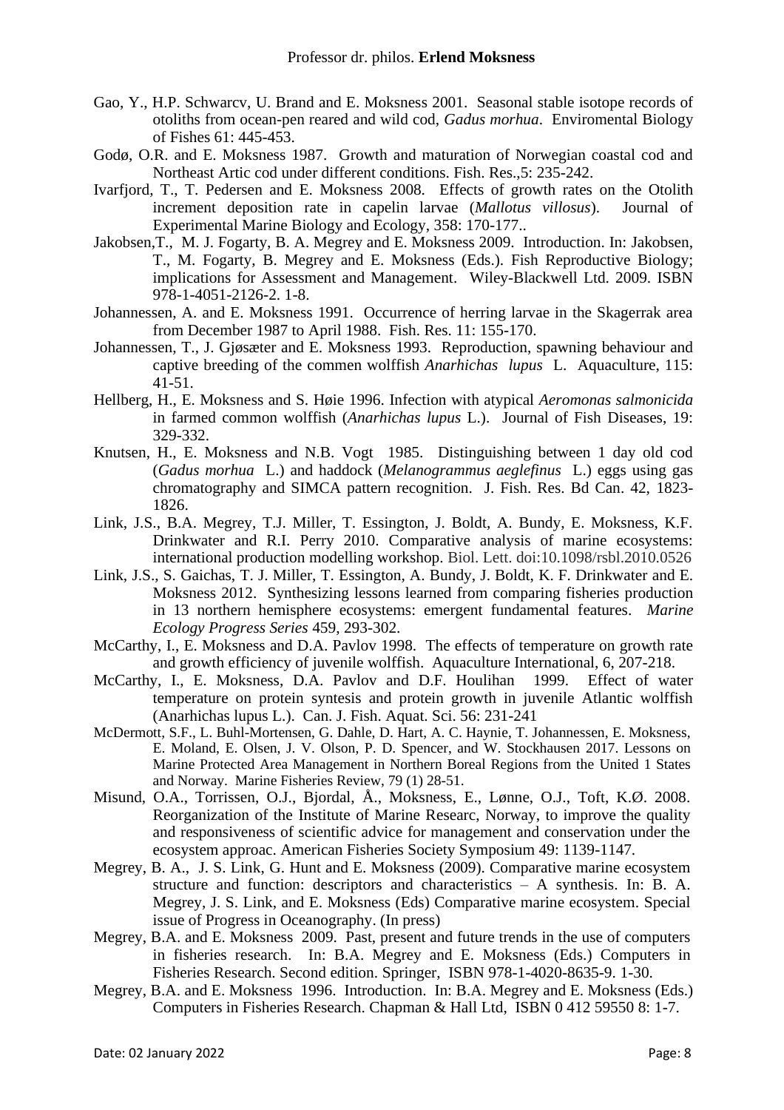- Gao, Y., H.P. Schwarcv, U. Brand and E. Moksness 2001. Seasonal stable isotope records of otoliths from ocean-pen reared and wild cod, *Gadus morhua*. Enviromental Biology of Fishes 61: 445-453.
- Godø, O.R. and E. Moksness 1987. Growth and maturation of Norwegian coastal cod and Northeast Artic cod under different conditions. Fish. Res.,5: 235-242.
- Ivarfjord, T., T. Pedersen and E. Moksness 2008. Effects of growth rates on the Otolith increment deposition rate in capelin larvae (*Mallotus villosus*). Journal of Experimental Marine Biology and Ecology, 358: 170-177..
- Jakobsen,T., M. J. Fogarty, B. A. Megrey and E. Moksness 2009. Introduction. In: Jakobsen, T., M. Fogarty, B. Megrey and E. Moksness (Eds.). Fish Reproductive Biology; implications for Assessment and Management. Wiley-Blackwell Ltd. 2009. ISBN 978-1-4051-2126-2. 1-8.
- Johannessen, A. and E. Moksness 1991. Occurrence of herring larvae in the Skagerrak area from December 1987 to April 1988. Fish. Res. 11: 155-170.
- Johannessen, T., J. Gjøsæter and E. Moksness 1993. Reproduction, spawning behaviour and captive breeding of the commen wolffish *Anarhichas lupus* L. Aquaculture, 115: 41-51.
- Hellberg, H., E. Moksness and S. Høie 1996. Infection with atypical *Aeromonas salmonicida* in farmed common wolffish (*Anarhichas lupus* L.). Journal of Fish Diseases, 19: 329-332.
- Knutsen, H., E. Moksness and N.B. Vogt 1985. Distinguishing between 1 day old cod (*Gadus morhua* L.) and haddock (*Melanogrammus aeglefinus* L.) eggs using gas chromatography and SIMCA pattern recognition. J. Fish. Res. Bd Can. 42, 1823- 1826.
- Link, J.S., B.A. Megrey, T.J. Miller, T. Essington, J. Boldt, A. Bundy, E. Moksness, K.F. Drinkwater and R.I. Perry 2010. Comparative analysis of marine ecosystems: international production modelling workshop. Biol. Lett. doi:10.1098/rsbl.2010.0526
- Link, J.S., S. Gaichas, T. J. Miller, T. Essington, A. Bundy, J. Boldt, K. F. Drinkwater and E. Moksness 2012. Synthesizing lessons learned from comparing fisheries production in 13 northern hemisphere ecosystems: emergent fundamental features. *Marine Ecology Progress Series* 459, 293-302.
- McCarthy, I., E. Moksness and D.A. Pavlov 1998. The effects of temperature on growth rate and growth efficiency of juvenile wolffish. Aquaculture International, 6, 207-218.
- McCarthy, I., E. Moksness, D.A. Pavlov and D.F. Houlihan 1999. Effect of water temperature on protein syntesis and protein growth in juvenile Atlantic wolffish (Anarhichas lupus L.). Can. J. Fish. Aquat. Sci. 56: 231-241
- McDermott, S.F., L. Buhl-Mortensen, G. Dahle, D. Hart, A. C. Haynie, T. Johannessen, E. Moksness, E. Moland, E. Olsen, J. V. Olson, P. D. Spencer, and W. Stockhausen 2017. Lessons on Marine Protected Area Management in Northern Boreal Regions from the United 1 States and Norway. Marine Fisheries Review, 79 (1) 28-51.
- Misund, O.A., Torrissen, O.J., Bjordal, Å., Moksness, E., Lønne, O.J., Toft, K.Ø. 2008. Reorganization of the Institute of Marine Researc, Norway, to improve the quality and responsiveness of scientific advice for management and conservation under the ecosystem approac. American Fisheries Society Symposium 49: 1139-1147.
- Megrey, B. A., J. S. Link, G. Hunt and E. Moksness (2009). Comparative marine ecosystem structure and function: descriptors and characteristics – A synthesis. In: B. A. Megrey, J. S. Link, and E. Moksness (Eds) Comparative marine ecosystem. Special issue of Progress in Oceanography. (In press)
- Megrey, B.A. and E. Moksness 2009. Past, present and future trends in the use of computers in fisheries research. In: B.A. Megrey and E. Moksness (Eds.) Computers in Fisheries Research. Second edition. Springer, ISBN 978-1-4020-8635-9. 1-30.
- Megrey, B.A. and E. Moksness 1996. Introduction. In: B.A. Megrey and E. Moksness (Eds.) Computers in Fisheries Research. Chapman & Hall Ltd, ISBN 0 412 59550 8: 1-7.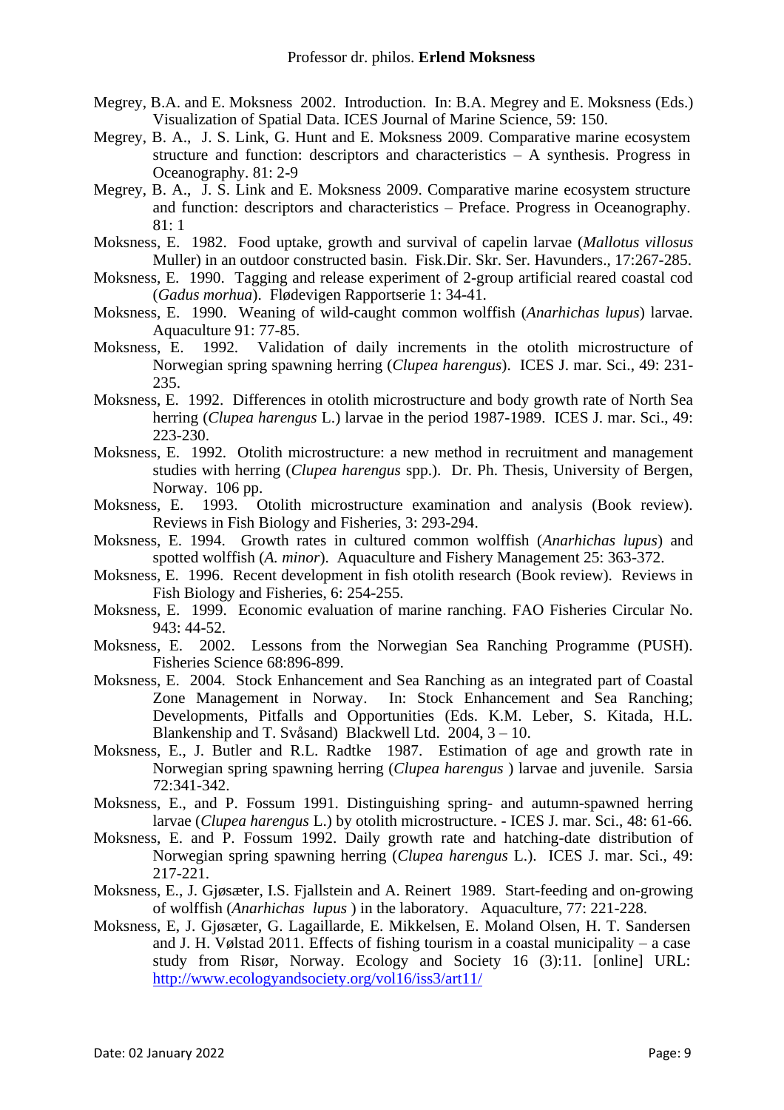- Megrey, B.A. and E. Moksness 2002. Introduction. In: B.A. Megrey and E. Moksness (Eds.) Visualization of Spatial Data. ICES Journal of Marine Science, 59: 150.
- Megrey, B. A., J. S. Link, G. Hunt and E. Moksness 2009. Comparative marine ecosystem structure and function: descriptors and characteristics – A synthesis. Progress in Oceanography. 81: 2-9
- Megrey, B. A., J. S. Link and E. Moksness 2009. Comparative marine ecosystem structure and function: descriptors and characteristics – Preface. Progress in Oceanography. 81: 1
- Moksness, E. 1982. Food uptake, growth and survival of capelin larvae (*Mallotus villosus* Muller) in an outdoor constructed basin. Fisk.Dir. Skr. Ser. Havunders., 17:267-285.
- Moksness, E. 1990. Tagging and release experiment of 2-group artificial reared coastal cod (*Gadus morhua*). Flødevigen Rapportserie 1: 34-41.
- Moksness, E. 1990. Weaning of wild-caught common wolffish (*Anarhichas lupus*) larvae. Aquaculture 91: 77-85.
- Moksness, E. 1992. Validation of daily increments in the otolith microstructure of Norwegian spring spawning herring (*Clupea harengus*). ICES J. mar. Sci., 49: 231- 235.
- Moksness, E. 1992. Differences in otolith microstructure and body growth rate of North Sea herring (*Clupea harengus* L.) larvae in the period 1987-1989. ICES J. mar. Sci., 49: 223-230.
- Moksness, E. 1992. Otolith microstructure: a new method in recruitment and management studies with herring (*Clupea harengus* spp.). Dr. Ph. Thesis, University of Bergen, Norway. 106 pp.
- Moksness, E. 1993. Otolith microstructure examination and analysis (Book review). Reviews in Fish Biology and Fisheries, 3: 293-294.
- Moksness, E. 1994. Growth rates in cultured common wolffish (*Anarhichas lupus*) and spotted wolffish (*A. minor*). Aquaculture and Fishery Management 25: 363-372.
- Moksness, E. 1996. Recent development in fish otolith research (Book review). Reviews in Fish Biology and Fisheries, 6: 254-255.
- Moksness, E. 1999. Economic evaluation of marine ranching. FAO Fisheries Circular No. 943: 44-52.
- Moksness, E. 2002. Lessons from the Norwegian Sea Ranching Programme (PUSH). Fisheries Science 68:896-899.
- Moksness, E. 2004. Stock Enhancement and Sea Ranching as an integrated part of Coastal Zone Management in Norway. In: Stock Enhancement and Sea Ranching; Developments, Pitfalls and Opportunities (Eds. K.M. Leber, S. Kitada, H.L. Blankenship and T. Svåsand) Blackwell Ltd. 2004, 3 – 10.
- Moksness, E., J. Butler and R.L. Radtke 1987. Estimation of age and growth rate in Norwegian spring spawning herring (*Clupea harengus* ) larvae and juvenile. Sarsia 72:341-342.
- Moksness, E., and P. Fossum 1991. Distinguishing spring- and autumn-spawned herring larvae (*Clupea harengus* L.) by otolith microstructure. - ICES J. mar. Sci., 48: 61-66.
- Moksness, E. and P. Fossum 1992. Daily growth rate and hatching-date distribution of Norwegian spring spawning herring (*Clupea harengus* L.). ICES J. mar. Sci., 49: 217-221.
- Moksness, E., J. Gjøsæter, I.S. Fjallstein and A. Reinert 1989. Start-feeding and on-growing of wolffish (*Anarhichas lupus* ) in the laboratory. Aquaculture, 77: 221-228.
- Moksness, E, J. Gjøsæter, G. Lagaillarde, E. Mikkelsen, E. Moland Olsen, H. T. Sandersen and J. H. Vølstad 2011. Effects of fishing tourism in a coastal municipality – a case study from Risør, Norway. Ecology and Society 16 (3):11. [online] URL: <http://www.ecologyandsociety.org/vol16/iss3/art11/>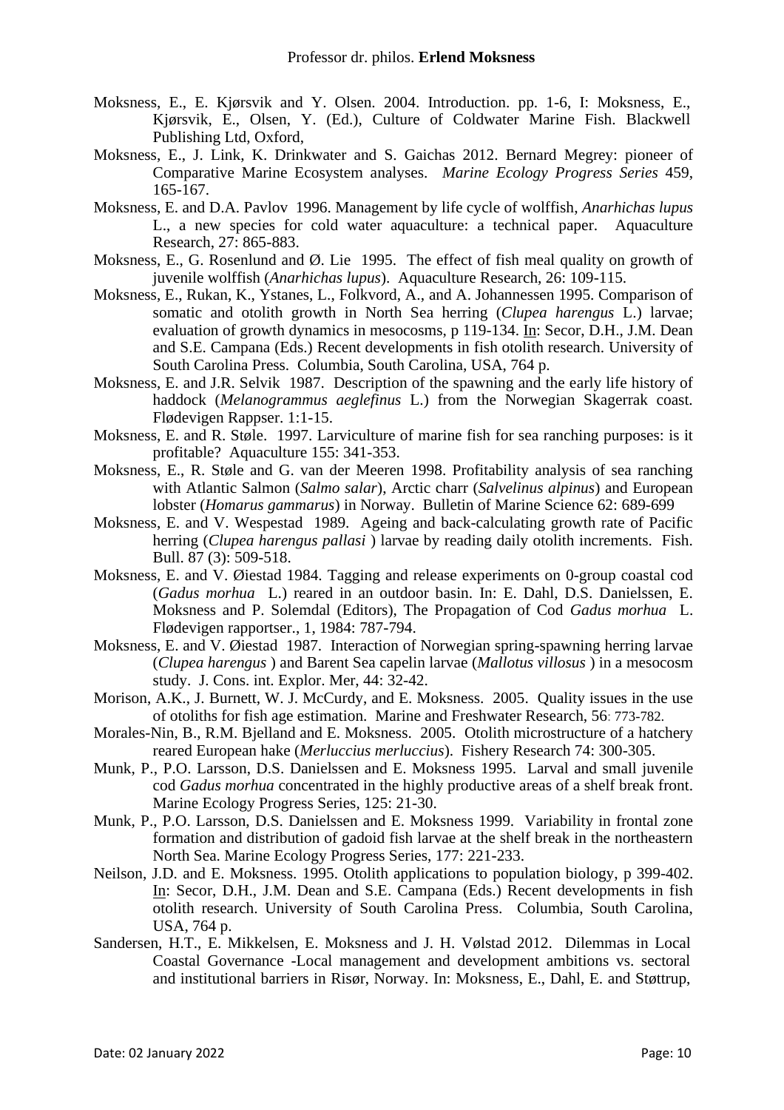- Moksness, E., E. Kjørsvik and Y. Olsen. 2004. Introduction. pp. 1-6, I: Moksness, E., Kjørsvik, E., Olsen, Y. (Ed.), Culture of Coldwater Marine Fish. Blackwell Publishing Ltd, Oxford,
- Moksness, E., J. Link, K. Drinkwater and S. Gaichas 2012. Bernard Megrey: pioneer of Comparative Marine Ecosystem analyses. *Marine Ecology Progress Series* 459, 165-167.
- Moksness, E. and D.A. Pavlov 1996. Management by life cycle of wolffish, *Anarhichas lupus* L., a new species for cold water aquaculture: a technical paper. Aquaculture Research, 27: 865-883.
- Moksness, E., G. Rosenlund and Ø. Lie 1995. The effect of fish meal quality on growth of juvenile wolffish (*Anarhichas lupus*). Aquaculture Research, 26: 109-115.
- Moksness, E., Rukan, K., Ystanes, L., Folkvord, A., and A. Johannessen 1995. Comparison of somatic and otolith growth in North Sea herring (*Clupea harengus* L.) larvae; evaluation of growth dynamics in mesocosms, p 119-134. In: Secor, D.H., J.M. Dean and S.E. Campana (Eds.) Recent developments in fish otolith research. University of South Carolina Press. Columbia, South Carolina, USA, 764 p.
- Moksness, E. and J.R. Selvik 1987. Description of the spawning and the early life history of haddock (*Melanogrammus aeglefinus* L.) from the Norwegian Skagerrak coast. Flødevigen Rappser. 1:1-15.
- Moksness, E. and R. Støle. 1997. Larviculture of marine fish for sea ranching purposes: is it profitable? Aquaculture 155: 341-353.
- Moksness, E., R. Støle and G. van der Meeren 1998. Profitability analysis of sea ranching with Atlantic Salmon (*Salmo salar*), Arctic charr (*Salvelinus alpinus*) and European lobster (*Homarus gammarus*) in Norway. Bulletin of Marine Science 62: 689-699
- Moksness, E. and V. Wespestad 1989. Ageing and back-calculating growth rate of Pacific herring (*Clupea harengus pallasi* ) larvae by reading daily otolith increments. Fish. Bull. 87 (3): 509-518.
- Moksness, E. and V. Øiestad 1984. Tagging and release experiments on 0-group coastal cod (*Gadus morhua* L.) reared in an outdoor basin. In: E. Dahl, D.S. Danielssen, E. Moksness and P. Solemdal (Editors), The Propagation of Cod *Gadus morhua* L. Flødevigen rapportser., 1, 1984: 787-794.
- Moksness, E. and V. Øiestad 1987. Interaction of Norwegian spring-spawning herring larvae (*Clupea harengus* ) and Barent Sea capelin larvae (*Mallotus villosus* ) in a mesocosm study. J. Cons. int. Explor. Mer, 44: 32-42.
- Morison, A.K., J. Burnett, W. J. McCurdy, and E. Moksness. 2005. Quality issues in the use of otoliths for fish age estimation. Marine and Freshwater Research, 56: 773-782.
- Morales-Nin, B., R.M. Bjelland and E. Moksness. 2005. Otolith microstructure of a hatchery reared European hake (*Merluccius merluccius*). Fishery Research 74: 300-305.
- Munk, P., P.O. Larsson, D.S. Danielssen and E. Moksness 1995. Larval and small juvenile cod *Gadus morhua* concentrated in the highly productive areas of a shelf break front. Marine Ecology Progress Series, 125: 21-30.
- Munk, P., P.O. Larsson, D.S. Danielssen and E. Moksness 1999. Variability in frontal zone formation and distribution of gadoid fish larvae at the shelf break in the northeastern North Sea. Marine Ecology Progress Series, 177: 221-233.
- Neilson, J.D. and E. Moksness. 1995. Otolith applications to population biology, p 399-402. In: Secor, D.H., J.M. Dean and S.E. Campana (Eds.) Recent developments in fish otolith research. University of South Carolina Press. Columbia, South Carolina, USA, 764 p.
- Sandersen, H.T., E. Mikkelsen, E. Moksness and J. H. Vølstad 2012. Dilemmas in Local Coastal Governance -Local management and development ambitions vs. sectoral and institutional barriers in Risør, Norway. In: Moksness, E., Dahl, E. and Støttrup,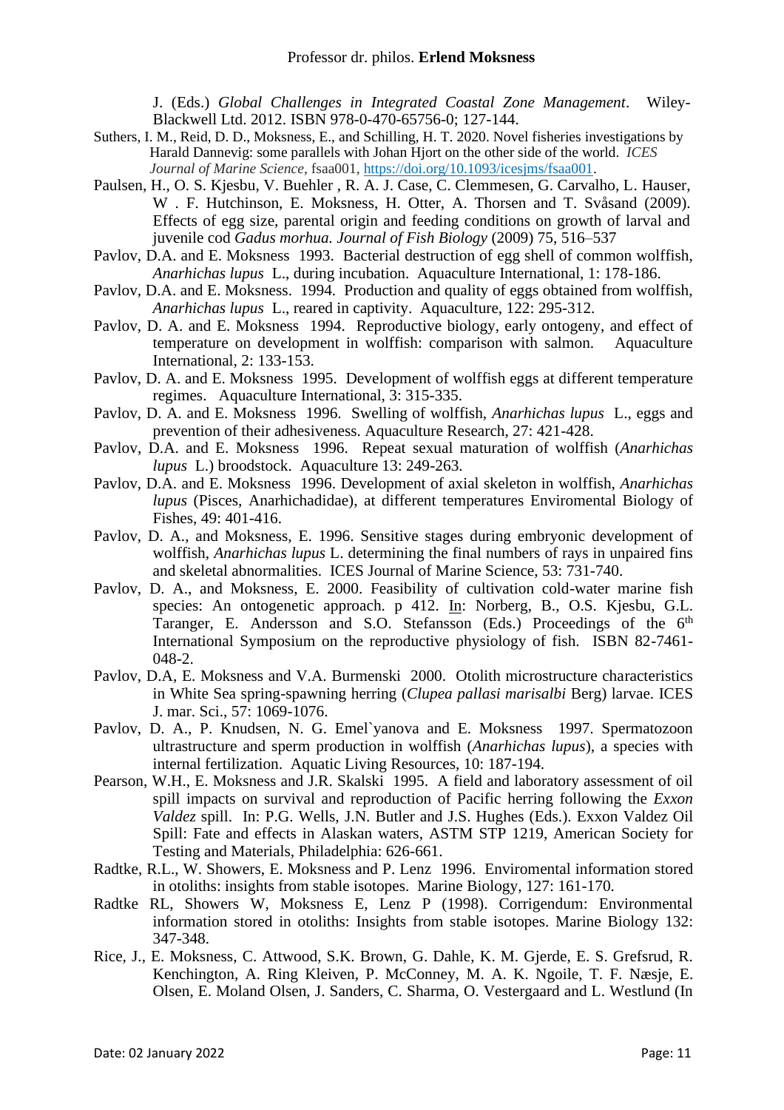J. (Eds.) *Global Challenges in Integrated Coastal Zone Management*. Wiley-Blackwell Ltd. 2012. ISBN 978-0-470-65756-0; 127-144.

- Suthers, I. M., Reid, D. D., Moksness, E., and Schilling, H. T. 2020. Novel fisheries investigations by Harald Dannevig: some parallels with Johan Hjort on the other side of the world. *ICES Journal of Marine Science*, fsaa001, [https://doi.org/10.1093/icesjms/fsaa001.](https://doi.org/10.1093/icesjms/fsaa001)
- Paulsen, H., O. S. Kjesbu, V. Buehler , R. A. J. Case, C. Clemmesen, G. Carvalho, L. Hauser, W . F. Hutchinson, E. Moksness, H. Otter, A. Thorsen and T. Svåsand (2009). Effects of egg size, parental origin and feeding conditions on growth of larval and juvenile cod *Gadus morhua. Journal of Fish Biology* (2009) 75, 516–537
- Pavlov, D.A. and E. Moksness 1993. Bacterial destruction of egg shell of common wolffish, *Anarhichas lupus* L., during incubation. Aquaculture International, 1: 178-186.
- Pavlov, D.A. and E. Moksness. 1994. Production and quality of eggs obtained from wolffish, *Anarhichas lupus* L., reared in captivity. Aquaculture, 122: 295-312.
- Pavlov, D. A. and E. Moksness 1994. Reproductive biology, early ontogeny, and effect of temperature on development in wolffish: comparison with salmon. Aquaculture International, 2: 133-153.
- Pavlov, D. A. and E. Moksness 1995. Development of wolffish eggs at different temperature regimes. Aquaculture International, 3: 315-335.
- Pavlov, D. A. and E. Moksness 1996. Swelling of wolffish, *Anarhichas lupus* L., eggs and prevention of their adhesiveness. Aquaculture Research, 27: 421-428.
- Pavlov, D.A. and E. Moksness 1996. Repeat sexual maturation of wolffish (*Anarhichas lupus* L.) broodstock. Aquaculture 13: 249-263.
- Pavlov, D.A. and E. Moksness 1996. Development of axial skeleton in wolffish, *Anarhichas lupus* (Pisces, Anarhichadidae), at different temperatures Enviromental Biology of Fishes, 49: 401-416.
- Pavlov, D. A., and Moksness, E. 1996. Sensitive stages during embryonic development of wolffish, *Anarhichas lupus* L. determining the final numbers of rays in unpaired fins and skeletal abnormalities. ICES Journal of Marine Science, 53: 731-740.
- Pavlov, D. A., and Moksness, E. 2000. Feasibility of cultivation cold-water marine fish species: An ontogenetic approach. p 412. In: Norberg, B., O.S. Kjesbu, G.L. Taranger, E. Andersson and S.O. Stefansson (Eds.) Proceedings of the 6<sup>th</sup> International Symposium on the reproductive physiology of fish. ISBN 82-7461- 048-2.
- Pavlov, D.A, E. Moksness and V.A. Burmenski 2000. Otolith microstructure characteristics in White Sea spring-spawning herring (*Clupea pallasi marisalbi* Berg) larvae. ICES J. mar. Sci., 57: 1069-1076.
- Pavlov, D. A., P. Knudsen, N. G. Emel`yanova and E. Moksness 1997. Spermatozoon ultrastructure and sperm production in wolffish (*Anarhichas lupus*), a species with internal fertilization. Aquatic Living Resources, 10: 187-194.
- Pearson, W.H., E. Moksness and J.R. Skalski 1995. A field and laboratory assessment of oil spill impacts on survival and reproduction of Pacific herring following the *Exxon Valdez* spill. In: P.G. Wells, J.N. Butler and J.S. Hughes (Eds.). Exxon Valdez Oil Spill: Fate and effects in Alaskan waters, ASTM STP 1219, American Society for Testing and Materials, Philadelphia: 626-661.
- Radtke, R.L., W. Showers, E. Moksness and P. Lenz 1996. Enviromental information stored in otoliths: insights from stable isotopes. Marine Biology, 127: 161-170.
- Radtke RL, Showers W, Moksness E, Lenz P (1998). Corrigendum: Environmental information stored in otoliths: Insights from stable isotopes. Marine Biology 132: 347-348.
- Rice, J., E. Moksness, C. Attwood, S.K. Brown, G. Dahle, K. M. Gjerde, E. S. Grefsrud, R. Kenchington, A. Ring Kleiven, P. McConney, M. A. K. Ngoile, T. F. Næsje, E. Olsen, E. Moland Olsen, J. Sanders, C. Sharma, O. Vestergaard and L. Westlund (In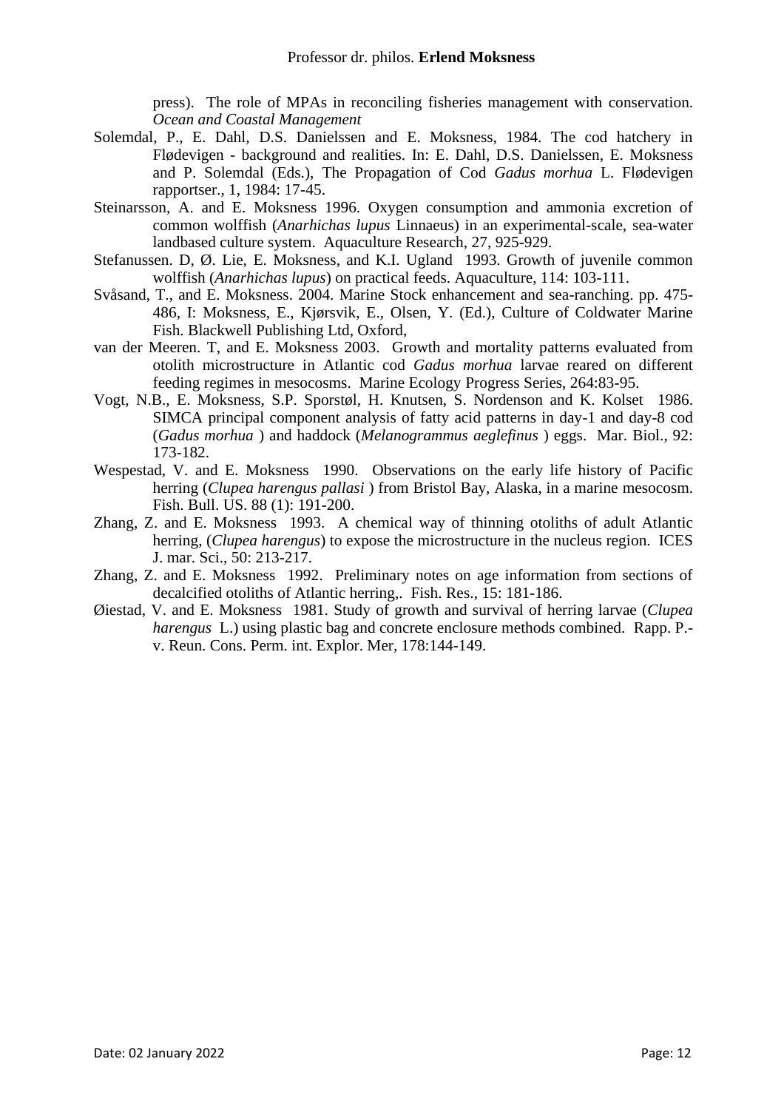press). The role of MPAs in reconciling fisheries management with conservation. *Ocean and Coastal Management*

- Solemdal, P., E. Dahl, D.S. Danielssen and E. Moksness, 1984. The cod hatchery in Flødevigen - background and realities. In: E. Dahl, D.S. Danielssen, E. Moksness and P. Solemdal (Eds.), The Propagation of Cod *Gadus morhua* L. Flødevigen rapportser., 1, 1984: 17-45.
- Steinarsson, A. and E. Moksness 1996. Oxygen consumption and ammonia excretion of common wolffish (*Anarhichas lupus* Linnaeus) in an experimental-scale, sea-water landbased culture system. Aquaculture Research, 27, 925-929.
- Stefanussen. D, Ø. Lie, E. Moksness, and K.I. Ugland 1993. Growth of juvenile common wolffish (*Anarhichas lupus*) on practical feeds. Aquaculture, 114: 103-111.
- Svåsand, T., and E. Moksness. 2004. Marine Stock enhancement and sea-ranching. pp. 475- 486, I: Moksness, E., Kjørsvik, E., Olsen, Y. (Ed.), Culture of Coldwater Marine Fish. Blackwell Publishing Ltd, Oxford,
- van der Meeren. T, and E. Moksness 2003. Growth and mortality patterns evaluated from otolith microstructure in Atlantic cod *Gadus morhua* larvae reared on different feeding regimes in mesocosms. Marine Ecology Progress Series, 264:83-95.
- Vogt, N.B., E. Moksness, S.P. Sporstøl, H. Knutsen, S. Nordenson and K. Kolset 1986. SIMCA principal component analysis of fatty acid patterns in day-1 and day-8 cod (*Gadus morhua* ) and haddock (*Melanogrammus aeglefinus* ) eggs. Mar. Biol., 92: 173-182.
- Wespestad, V. and E. Moksness 1990. Observations on the early life history of Pacific herring (*Clupea harengus pallasi* ) from Bristol Bay, Alaska, in a marine mesocosm. Fish. Bull. US. 88 (1): 191-200.
- Zhang, Z. and E. Moksness 1993. A chemical way of thinning otoliths of adult Atlantic herring, (*Clupea harengus*) to expose the microstructure in the nucleus region. ICES J. mar. Sci., 50: 213-217.
- Zhang, Z. and E. Moksness 1992. Preliminary notes on age information from sections of decalcified otoliths of Atlantic herring,. Fish. Res., 15: 181-186.
- Øiestad, V. and E. Moksness 1981. Study of growth and survival of herring larvae (*Clupea harengus* L.) using plastic bag and concrete enclosure methods combined. Rapp. P.v. Reun. Cons. Perm. int. Explor. Mer, 178:144-149.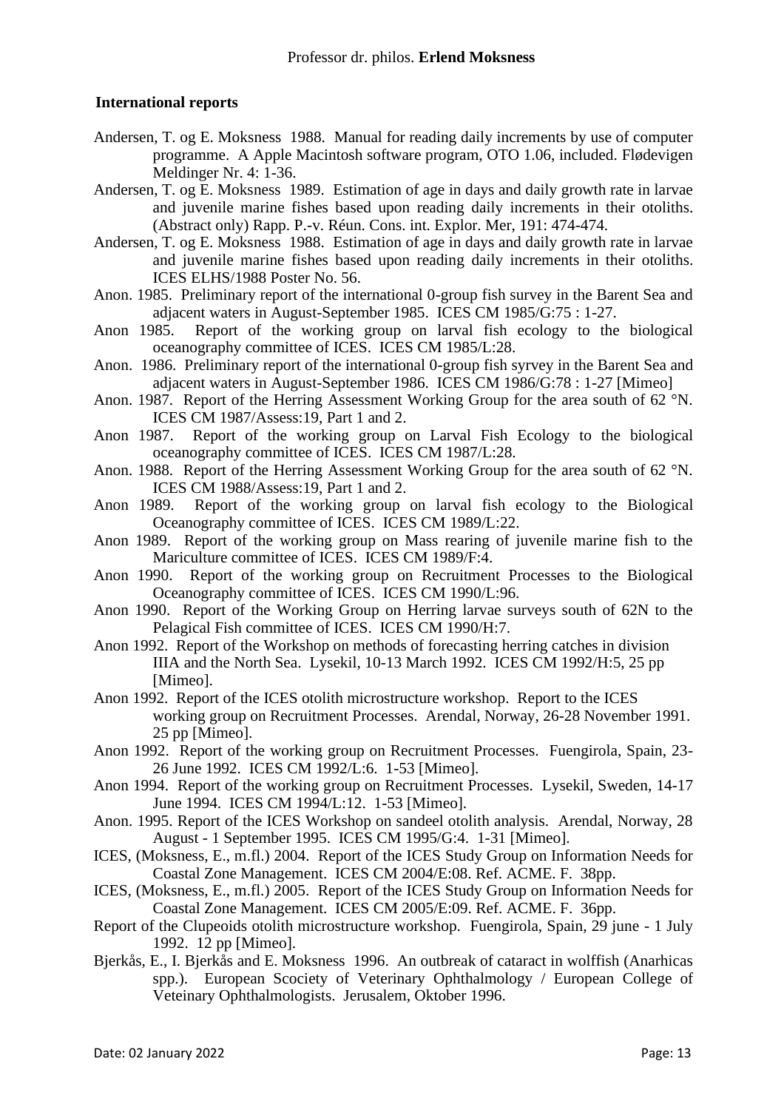## **International reports**

- Andersen, T. og E. Moksness 1988. Manual for reading daily increments by use of computer programme. A Apple Macintosh software program, OTO 1.06, included. Flødevigen Meldinger Nr. 4: 1-36.
- Andersen, T. og E. Moksness 1989. Estimation of age in days and daily growth rate in larvae and juvenile marine fishes based upon reading daily increments in their otoliths. (Abstract only) Rapp. P.-v. Réun. Cons. int. Explor. Mer, 191: 474-474.
- Andersen, T. og E. Moksness 1988. Estimation of age in days and daily growth rate in larvae and juvenile marine fishes based upon reading daily increments in their otoliths. ICES ELHS/1988 Poster No. 56.
- Anon. 1985. Preliminary report of the international 0-group fish survey in the Barent Sea and adjacent waters in August-September 1985. ICES CM 1985/G:75 : 1-27.
- Anon 1985. Report of the working group on larval fish ecology to the biological oceanography committee of ICES. ICES CM 1985/L:28.
- Anon. 1986. Preliminary report of the international 0-group fish syrvey in the Barent Sea and adjacent waters in August-September 1986. ICES CM 1986/G:78 : 1-27 [Mimeo]
- Anon. 1987. Report of the Herring Assessment Working Group for the area south of 62 °N. ICES CM 1987/Assess:19, Part 1 and 2.
- Anon 1987. Report of the working group on Larval Fish Ecology to the biological oceanography committee of ICES. ICES CM 1987/L:28.
- Anon. 1988. Report of the Herring Assessment Working Group for the area south of 62 °N. ICES CM 1988/Assess:19, Part 1 and 2.
- Anon 1989. Report of the working group on larval fish ecology to the Biological Oceanography committee of ICES. ICES CM 1989/L:22.
- Anon 1989. Report of the working group on Mass rearing of juvenile marine fish to the Mariculture committee of ICES. ICES CM 1989/F:4.
- Anon 1990. Report of the working group on Recruitment Processes to the Biological Oceanography committee of ICES. ICES CM 1990/L:96.
- Anon 1990. Report of the Working Group on Herring larvae surveys south of 62N to the Pelagical Fish committee of ICES. ICES CM 1990/H:7.
- Anon 1992. Report of the Workshop on methods of forecasting herring catches in division IIIA and the North Sea. Lysekil, 10-13 March 1992. ICES CM 1992/H:5, 25 pp [Mimeo].
- Anon 1992. Report of the ICES otolith microstructure workshop. Report to the ICES working group on Recruitment Processes. Arendal, Norway, 26-28 November 1991. 25 pp [Mimeo].
- Anon 1992. Report of the working group on Recruitment Processes. Fuengirola, Spain, 23- 26 June 1992. ICES CM 1992/L:6. 1-53 [Mimeo].
- Anon 1994. Report of the working group on Recruitment Processes. Lysekil, Sweden, 14-17 June 1994. ICES CM 1994/L:12. 1-53 [Mimeo].
- Anon. 1995. Report of the ICES Workshop on sandeel otolith analysis. Arendal, Norway, 28 August - 1 September 1995. ICES CM 1995/G:4. 1-31 [Mimeo].
- ICES, (Moksness, E., m.fl.) 2004. Report of the ICES Study Group on Information Needs for Coastal Zone Management. ICES CM 2004/E:08. Ref. ACME. F. 38pp.
- ICES, (Moksness, E., m.fl.) 2005. Report of the ICES Study Group on Information Needs for Coastal Zone Management. ICES CM 2005/E:09. Ref. ACME. F. 36pp.
- Report of the Clupeoids otolith microstructure workshop. Fuengirola, Spain, 29 june 1 July 1992. 12 pp [Mimeo].
- Bjerkås, E., I. Bjerkås and E. Moksness 1996. An outbreak of cataract in wolffish (Anarhicas spp.). European Scociety of Veterinary Ophthalmology / European College of Veteinary Ophthalmologists. Jerusalem, Oktober 1996.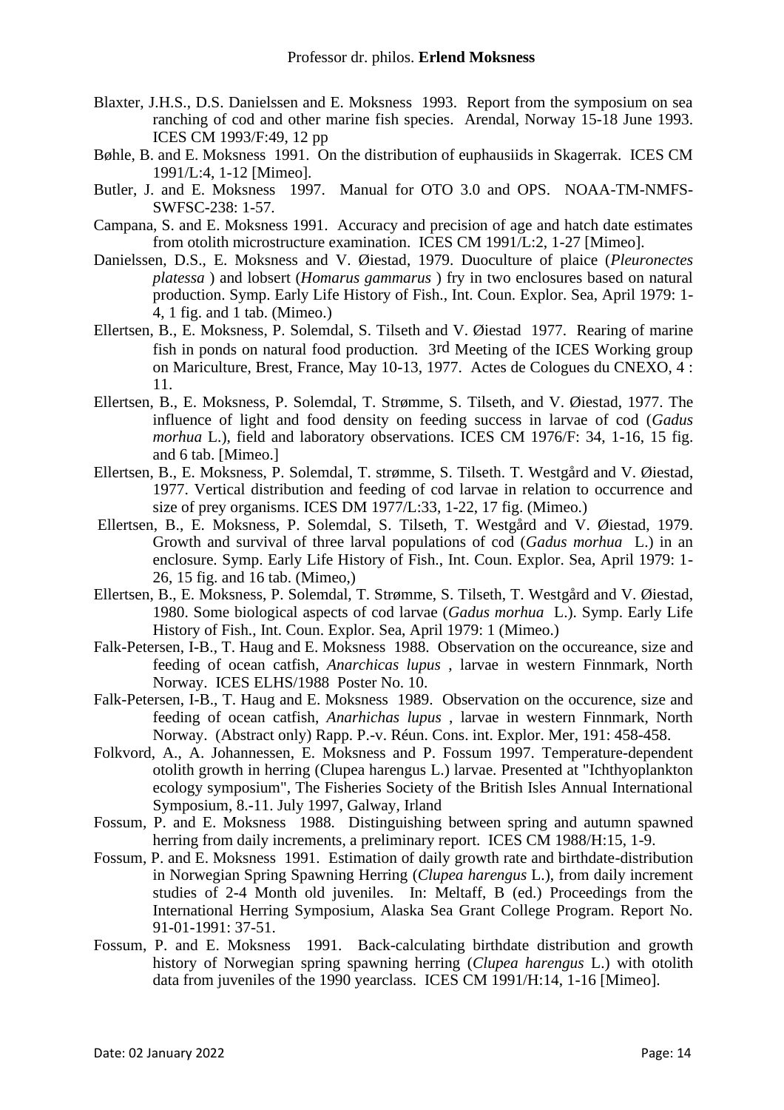- Blaxter, J.H.S., D.S. Danielssen and E. Moksness 1993. Report from the symposium on sea ranching of cod and other marine fish species. Arendal, Norway 15-18 June 1993. ICES CM 1993/F:49, 12 pp
- Bøhle, B. and E. Moksness 1991. On the distribution of euphausiids in Skagerrak. ICES CM 1991/L:4, 1-12 [Mimeo].
- Butler, J. and E. Moksness 1997. Manual for OTO 3.0 and OPS. NOAA-TM-NMFS-SWFSC-238: 1-57.
- Campana, S. and E. Moksness 1991. Accuracy and precision of age and hatch date estimates from otolith microstructure examination. ICES CM 1991/L:2, 1-27 [Mimeo].
- Danielssen, D.S., E. Moksness and V. Øiestad, 1979. Duoculture of plaice (*Pleuronectes platessa* ) and lobsert (*Homarus gammarus* ) fry in two enclosures based on natural production. Symp. Early Life History of Fish., Int. Coun. Explor. Sea, April 1979: 1- 4, 1 fig. and 1 tab. (Mimeo.)
- Ellertsen, B., E. Moksness, P. Solemdal, S. Tilseth and V. Øiestad 1977. Rearing of marine fish in ponds on natural food production. 3rd Meeting of the ICES Working group on Mariculture, Brest, France, May 10-13, 1977. Actes de Cologues du CNEXO, 4 : 11.
- Ellertsen, B., E. Moksness, P. Solemdal, T. Strømme, S. Tilseth, and V. Øiestad, 1977. The influence of light and food density on feeding success in larvae of cod (*Gadus morhua* L.), field and laboratory observations. ICES CM 1976/F: 34, 1-16, 15 fig. and 6 tab. [Mimeo.]
- Ellertsen, B., E. Moksness, P. Solemdal, T. strømme, S. Tilseth. T. Westgård and V. Øiestad, 1977. Vertical distribution and feeding of cod larvae in relation to occurrence and size of prey organisms. ICES DM 1977/L:33, 1-22, 17 fig. (Mimeo.)
- Ellertsen, B., E. Moksness, P. Solemdal, S. Tilseth, T. Westgård and V. Øiestad, 1979. Growth and survival of three larval populations of cod (*Gadus morhua* L.) in an enclosure. Symp. Early Life History of Fish., Int. Coun. Explor. Sea, April 1979: 1- 26, 15 fig. and 16 tab. (Mimeo,)
- Ellertsen, B., E. Moksness, P. Solemdal, T. Strømme, S. Tilseth, T. Westgård and V. Øiestad, 1980. Some biological aspects of cod larvae (*Gadus morhua* L.). Symp. Early Life History of Fish., Int. Coun. Explor. Sea, April 1979: 1 (Mimeo.)
- Falk-Petersen, I-B., T. Haug and E. Moksness 1988. Observation on the occureance, size and feeding of ocean catfish, *Anarchicas lupus* , larvae in western Finnmark, North Norway. ICES ELHS/1988 Poster No. 10.
- Falk-Petersen, I-B., T. Haug and E. Moksness 1989. Observation on the occurence, size and feeding of ocean catfish, *Anarhichas lupus* , larvae in western Finnmark, North Norway. (Abstract only) Rapp. P.-v. Réun. Cons. int. Explor. Mer, 191: 458-458.
- Folkvord, A., A. Johannessen, E. Moksness and P. Fossum 1997. Temperature-dependent otolith growth in herring (Clupea harengus L.) larvae. Presented at "Ichthyoplankton ecology symposium", The Fisheries Society of the British Isles Annual International Symposium, 8.-11. July 1997, Galway, Irland
- Fossum, P. and E. Moksness 1988. Distinguishing between spring and autumn spawned herring from daily increments, a preliminary report. ICES CM 1988/H:15, 1-9.
- Fossum, P. and E. Moksness 1991. Estimation of daily growth rate and birthdate-distribution in Norwegian Spring Spawning Herring (*Clupea harengus* L.), from daily increment studies of 2-4 Month old juveniles. In: Meltaff, B (ed.) Proceedings from the International Herring Symposium, Alaska Sea Grant College Program. Report No. 91-01-1991: 37-51.
- Fossum, P. and E. Moksness 1991. Back-calculating birthdate distribution and growth history of Norwegian spring spawning herring (*Clupea harengus* L.) with otolith data from juveniles of the 1990 yearclass. ICES CM 1991/H:14, 1-16 [Mimeo].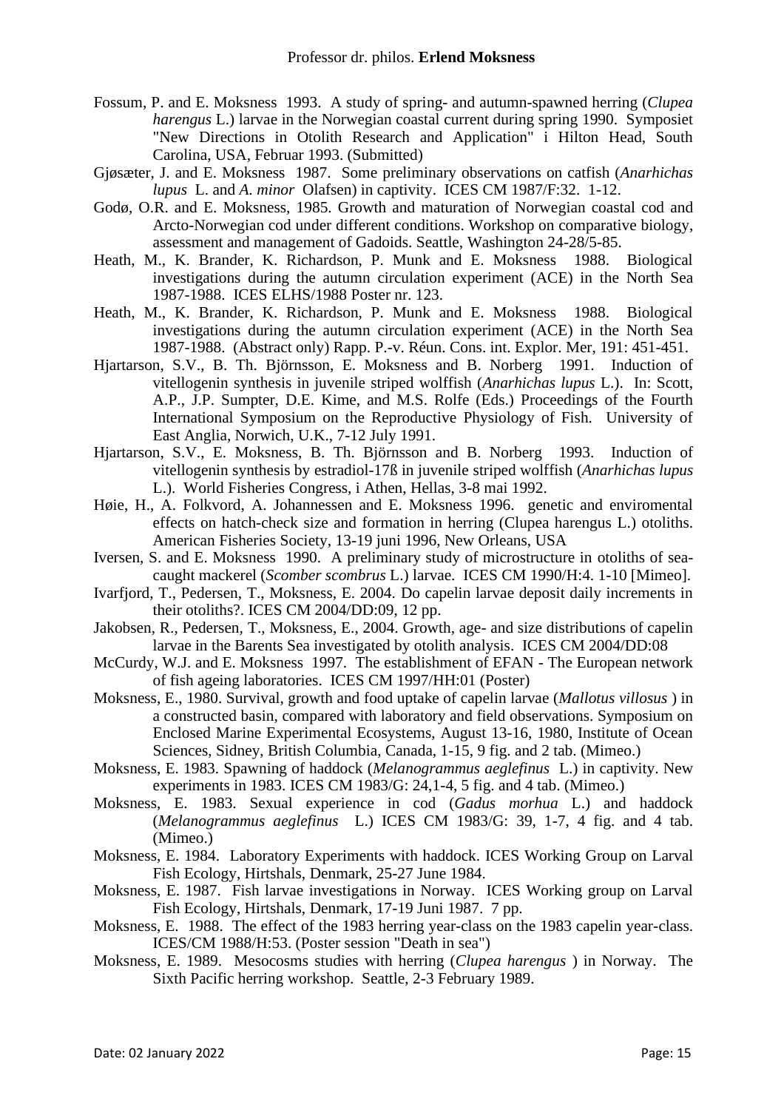- Fossum, P. and E. Moksness 1993. A study of spring- and autumn-spawned herring (*Clupea harengus* L.) larvae in the Norwegian coastal current during spring 1990. Symposiet "New Directions in Otolith Research and Application" i Hilton Head, South Carolina, USA, Februar 1993. (Submitted)
- Gjøsæter, J. and E. Moksness 1987. Some preliminary observations on catfish (*Anarhichas lupus* L. and *A. minor* Olafsen) in captivity. ICES CM 1987/F:32. 1-12.
- Godø, O.R. and E. Moksness, 1985. Growth and maturation of Norwegian coastal cod and Arcto-Norwegian cod under different conditions. Workshop on comparative biology, assessment and management of Gadoids. Seattle, Washington 24-28/5-85.
- Heath, M., K. Brander, K. Richardson, P. Munk and E. Moksness 1988. Biological investigations during the autumn circulation experiment (ACE) in the North Sea 1987-1988. ICES ELHS/1988 Poster nr. 123.
- Heath, M., K. Brander, K. Richardson, P. Munk and E. Moksness 1988. Biological investigations during the autumn circulation experiment (ACE) in the North Sea 1987-1988. (Abstract only) Rapp. P.-v. Réun. Cons. int. Explor. Mer, 191: 451-451.
- Hjartarson, S.V., B. Th. Björnsson, E. Moksness and B. Norberg 1991. Induction of vitellogenin synthesis in juvenile striped wolffish (*Anarhichas lupus* L.). In: Scott, A.P., J.P. Sumpter, D.E. Kime, and M.S. Rolfe (Eds.) Proceedings of the Fourth International Symposium on the Reproductive Physiology of Fish. University of East Anglia, Norwich, U.K., 7-12 July 1991.
- Hjartarson, S.V., E. Moksness, B. Th. Björnsson and B. Norberg 1993. Induction of vitellogenin synthesis by estradiol-17ß in juvenile striped wolffish (*Anarhichas lupus* L.). World Fisheries Congress, i Athen, Hellas, 3-8 mai 1992.
- Høie, H., A. Folkvord, A. Johannessen and E. Moksness 1996. genetic and enviromental effects on hatch-check size and formation in herring (Clupea harengus L.) otoliths. American Fisheries Society, 13-19 juni 1996, New Orleans, USA
- Iversen, S. and E. Moksness 1990. A preliminary study of microstructure in otoliths of seacaught mackerel (*Scomber scombrus* L.) larvae. ICES CM 1990/H:4. 1-10 [Mimeo].
- Ivarfjord, T., Pedersen, T., Moksness, E. 2004. Do capelin larvae deposit daily increments in their otoliths?. ICES CM 2004/DD:09, 12 pp.
- Jakobsen, R., Pedersen, T., Moksness, E., 2004. Growth, age- and size distributions of capelin larvae in the Barents Sea investigated by otolith analysis. ICES CM 2004/DD:08
- McCurdy, W.J. and E. Moksness 1997. The establishment of EFAN The European network of fish ageing laboratories. ICES CM 1997/HH:01 (Poster)
- Moksness, E., 1980. Survival, growth and food uptake of capelin larvae (*Mallotus villosus* ) in a constructed basin, compared with laboratory and field observations. Symposium on Enclosed Marine Experimental Ecosystems, August 13-16, 1980, Institute of Ocean Sciences, Sidney, British Columbia, Canada, 1-15, 9 fig. and 2 tab. (Mimeo.)
- Moksness, E. 1983. Spawning of haddock (*Melanogrammus aeglefinus* L.) in captivity. New experiments in 1983. ICES CM 1983/G: 24,1-4, 5 fig. and 4 tab. (Mimeo.)
- Moksness, E. 1983. Sexual experience in cod (*Gadus morhua* L.) and haddock (*Melanogrammus aeglefinus* L.) ICES CM 1983/G: 39, 1-7, 4 fig. and 4 tab. (Mimeo.)
- Moksness, E. 1984. Laboratory Experiments with haddock. ICES Working Group on Larval Fish Ecology, Hirtshals, Denmark, 25-27 June 1984.
- Moksness, E. 1987. Fish larvae investigations in Norway. ICES Working group on Larval Fish Ecology, Hirtshals, Denmark, 17-19 Juni 1987. 7 pp.
- Moksness, E. 1988. The effect of the 1983 herring year-class on the 1983 capelin year-class. ICES/CM 1988/H:53. (Poster session "Death in sea")
- Moksness, E. 1989. Mesocosms studies with herring (*Clupea harengus* ) in Norway. The Sixth Pacific herring workshop. Seattle, 2-3 February 1989.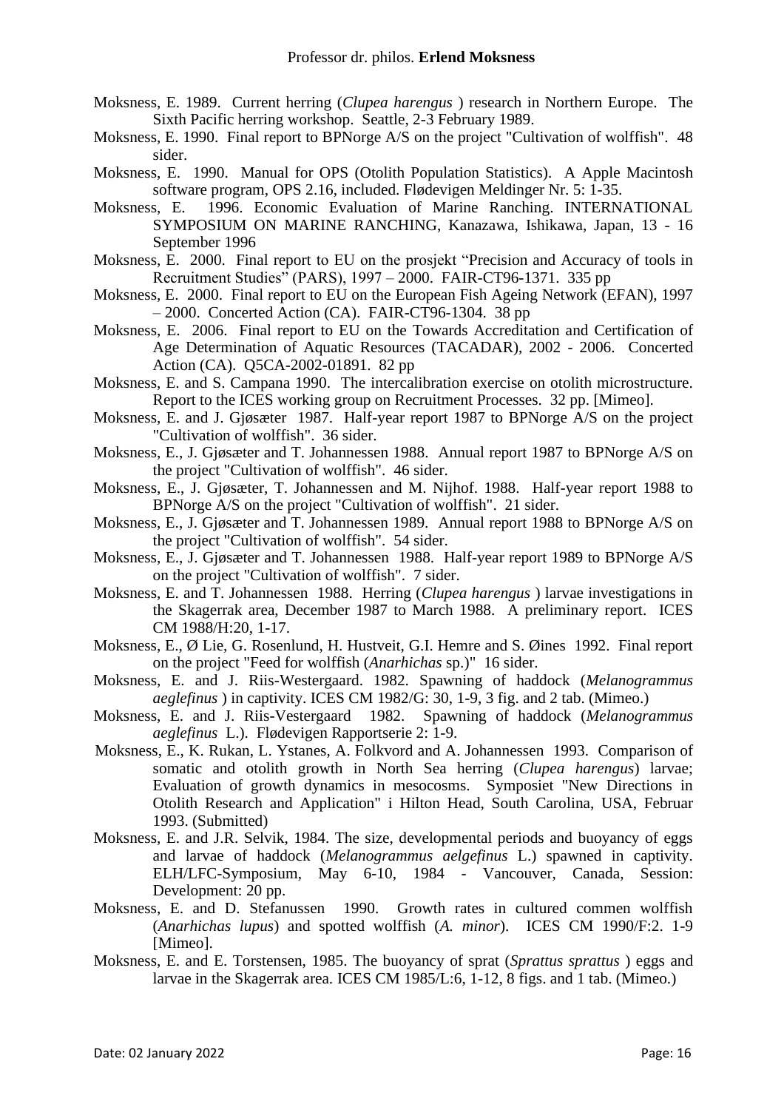- Moksness, E. 1989. Current herring (*Clupea harengus* ) research in Northern Europe. The Sixth Pacific herring workshop. Seattle, 2-3 February 1989.
- Moksness, E. 1990. Final report to BPNorge A/S on the project "Cultivation of wolffish". 48 sider.
- Moksness, E. 1990. Manual for OPS (Otolith Population Statistics). A Apple Macintosh software program, OPS 2.16, included. Flødevigen Meldinger Nr. 5: 1-35.
- Moksness, E. 1996. Economic Evaluation of Marine Ranching. INTERNATIONAL SYMPOSIUM ON MARINE RANCHING, Kanazawa, Ishikawa, Japan, 13 - 16 September 1996
- Moksness, E. 2000. Final report to EU on the prosjekt "Precision and Accuracy of tools in Recruitment Studies" (PARS), 1997 – 2000. FAIR-CT96-1371. 335 pp
- Moksness, E. 2000. Final report to EU on the European Fish Ageing Network (EFAN), 1997  $-2000$ . Concerted Action (CA). FAIR-CT96-1304. 38 pp
- Moksness, E. 2006. Final report to EU on the Towards Accreditation and Certification of Age Determination of Aquatic Resources (TACADAR), 2002 - 2006. Concerted Action (CA). Q5CA-2002-01891. 82 pp
- Moksness, E. and S. Campana 1990. The intercalibration exercise on otolith microstructure. Report to the ICES working group on Recruitment Processes. 32 pp. [Mimeo].
- Moksness, E. and J. Gjøsæter 1987. Half-year report 1987 to BPNorge A/S on the project "Cultivation of wolffish". 36 sider.
- Moksness, E., J. Gjøsæter and T. Johannessen 1988. Annual report 1987 to BPNorge A/S on the project "Cultivation of wolffish". 46 sider.
- Moksness, E., J. Gjøsæter, T. Johannessen and M. Nijhof. 1988. Half-year report 1988 to BPNorge A/S on the project "Cultivation of wolffish". 21 sider.
- Moksness, E., J. Gjøsæter and T. Johannessen 1989. Annual report 1988 to BPNorge A/S on the project "Cultivation of wolffish". 54 sider.
- Moksness, E., J. Gjøsæter and T. Johannessen 1988. Half-year report 1989 to BPNorge A/S on the project "Cultivation of wolffish". 7 sider.
- Moksness, E. and T. Johannessen 1988. Herring (*Clupea harengus* ) larvae investigations in the Skagerrak area, December 1987 to March 1988. A preliminary report. ICES CM 1988/H:20, 1-17.
- Moksness, E., Ø Lie, G. Rosenlund, H. Hustveit, G.I. Hemre and S. Øines 1992. Final report on the project "Feed for wolffish (*Anarhichas* sp.)" 16 sider.
- Moksness, E. and J. Riis-Westergaard. 1982. Spawning of haddock (*Melanogrammus aeglefinus* ) in captivity. ICES CM 1982/G: 30, 1-9, 3 fig. and 2 tab. (Mimeo.)
- Moksness, E. and J. Riis-Vestergaard 1982. Spawning of haddock (*Melanogrammus aeglefinus* L.). Flødevigen Rapportserie 2: 1-9.
- Moksness, E., K. Rukan, L. Ystanes, A. Folkvord and A. Johannessen 1993. Comparison of somatic and otolith growth in North Sea herring (*Clupea harengus*) larvae; Evaluation of growth dynamics in mesocosms. Symposiet "New Directions in Otolith Research and Application" i Hilton Head, South Carolina, USA, Februar 1993. (Submitted)
- Moksness, E. and J.R. Selvik, 1984. The size, developmental periods and buoyancy of eggs and larvae of haddock (*Melanogrammus aelgefinus* L.) spawned in captivity. ELH/LFC-Symposium, May 6-10, 1984 - Vancouver, Canada, Session: Development: 20 pp.
- Moksness, E. and D. Stefanussen 1990. Growth rates in cultured commen wolffish (*Anarhichas lupus*) and spotted wolffish (*A. minor*). ICES CM 1990/F:2. 1-9 [Mimeo].
- Moksness, E. and E. Torstensen, 1985. The buoyancy of sprat (*Sprattus sprattus* ) eggs and larvae in the Skagerrak area. ICES CM 1985/L:6, 1-12, 8 figs. and 1 tab. (Mimeo.)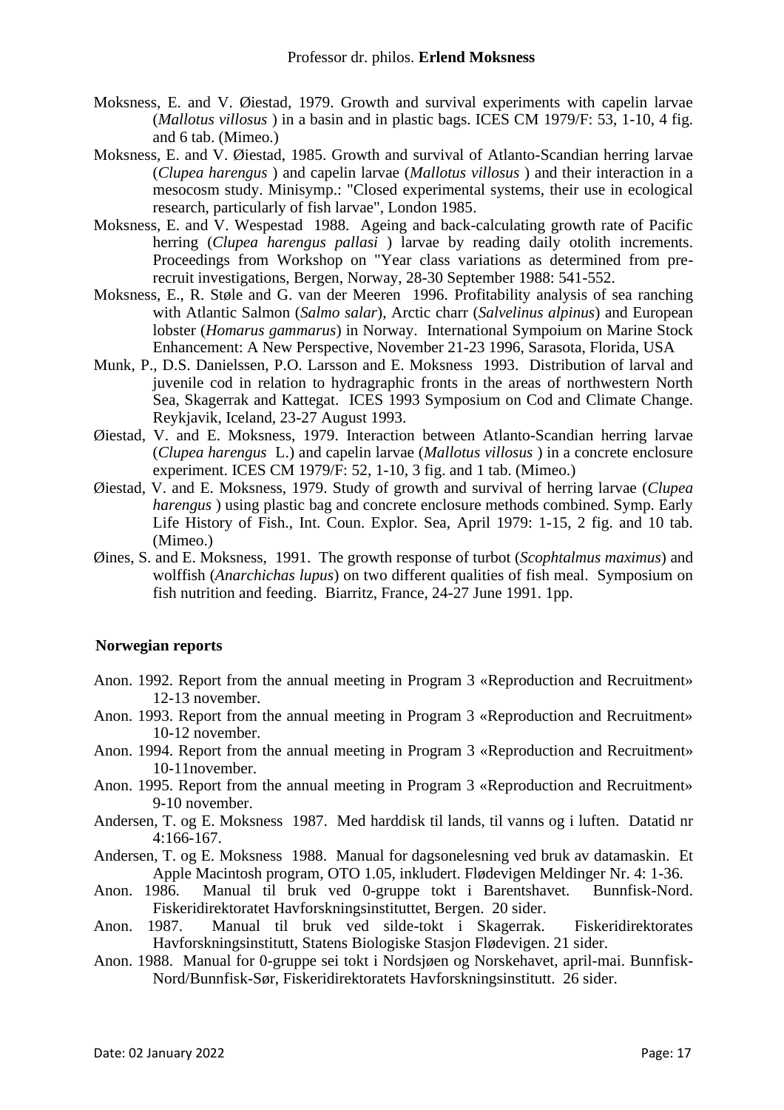- Moksness, E. and V. Øiestad, 1979. Growth and survival experiments with capelin larvae (*Mallotus villosus* ) in a basin and in plastic bags. ICES CM 1979/F: 53, 1-10, 4 fig. and 6 tab. (Mimeo.)
- Moksness, E. and V. Øiestad, 1985. Growth and survival of Atlanto-Scandian herring larvae (*Clupea harengus* ) and capelin larvae (*Mallotus villosus* ) and their interaction in a mesocosm study. Minisymp.: "Closed experimental systems, their use in ecological research, particularly of fish larvae", London 1985.
- Moksness, E. and V. Wespestad 1988. Ageing and back-calculating growth rate of Pacific herring (*Clupea harengus pallasi* ) larvae by reading daily otolith increments. Proceedings from Workshop on "Year class variations as determined from prerecruit investigations, Bergen, Norway, 28-30 September 1988: 541-552.
- Moksness, E., R. Støle and G. van der Meeren 1996. Profitability analysis of sea ranching with Atlantic Salmon (*Salmo salar*), Arctic charr (*Salvelinus alpinus*) and European lobster (*Homarus gammarus*) in Norway. International Sympoium on Marine Stock Enhancement: A New Perspective, November 21-23 1996, Sarasota, Florida, USA
- Munk, P., D.S. Danielssen, P.O. Larsson and E. Moksness 1993. Distribution of larval and juvenile cod in relation to hydragraphic fronts in the areas of northwestern North Sea, Skagerrak and Kattegat. ICES 1993 Symposium on Cod and Climate Change. Reykjavik, Iceland, 23-27 August 1993.
- Øiestad, V. and E. Moksness, 1979. Interaction between Atlanto-Scandian herring larvae (*Clupea harengus* L.) and capelin larvae (*Mallotus villosus* ) in a concrete enclosure experiment. ICES CM 1979/F: 52, 1-10, 3 fig. and 1 tab. (Mimeo.)
- Øiestad, V. and E. Moksness, 1979. Study of growth and survival of herring larvae (*Clupea harengus* ) using plastic bag and concrete enclosure methods combined. Symp. Early Life History of Fish., Int. Coun. Explor. Sea, April 1979: 1-15, 2 fig. and 10 tab. (Mimeo.)
- Øines, S. and E. Moksness, 1991. The growth response of turbot (*Scophtalmus maximus*) and wolffish (*Anarchichas lupus*) on two different qualities of fish meal. Symposium on fish nutrition and feeding. Biarritz, France, 24-27 June 1991. 1pp.

#### **Norwegian reports**

- Anon. 1992. Report from the annual meeting in Program 3 «Reproduction and Recruitment» 12-13 november.
- Anon. 1993. Report from the annual meeting in Program 3 «Reproduction and Recruitment» 10-12 november.
- Anon. 1994. Report from the annual meeting in Program 3 «Reproduction and Recruitment» 10-11november.
- Anon. 1995. Report from the annual meeting in Program 3 «Reproduction and Recruitment» 9-10 november.
- Andersen, T. og E. Moksness 1987. Med harddisk til lands, til vanns og i luften. Datatid nr 4:166-167.
- Andersen, T. og E. Moksness 1988. Manual for dagsonelesning ved bruk av datamaskin. Et Apple Macintosh program, OTO 1.05, inkludert. Flødevigen Meldinger Nr. 4: 1-36.
- Anon. 1986. Manual til bruk ved 0-gruppe tokt i Barentshavet. Bunnfisk-Nord. Fiskeridirektoratet Havforskningsinstituttet, Bergen. 20 sider.
- Anon. 1987. Manual til bruk ved silde-tokt i Skagerrak. Fiskeridirektorates Havforskningsinstitutt, Statens Biologiske Stasjon Flødevigen. 21 sider.
- Anon. 1988. Manual for 0-gruppe sei tokt i Nordsjøen og Norskehavet, april-mai. Bunnfisk-Nord/Bunnfisk-Sør, Fiskeridirektoratets Havforskningsinstitutt. 26 sider.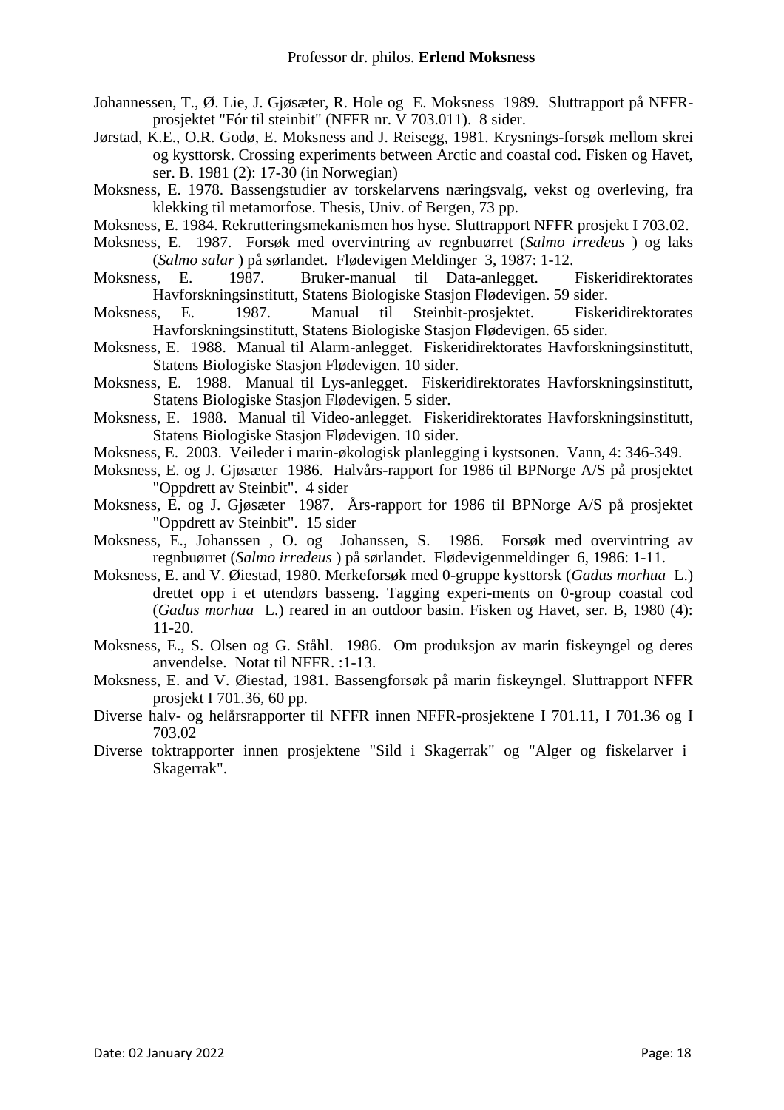- Johannessen, T., Ø. Lie, J. Gjøsæter, R. Hole og E. Moksness 1989. Sluttrapport på NFFRprosjektet "Fór til steinbit" (NFFR nr. V 703.011). 8 sider.
- Jørstad, K.E., O.R. Godø, E. Moksness and J. Reisegg, 1981. Krysnings-forsøk mellom skrei og kysttorsk. Crossing experiments between Arctic and coastal cod. Fisken og Havet, ser. B. 1981 (2): 17-30 (in Norwegian)
- Moksness, E. 1978. Bassengstudier av torskelarvens næringsvalg, vekst og overleving, fra klekking til metamorfose. Thesis, Univ. of Bergen, 73 pp.
- Moksness, E. 1984. Rekrutteringsmekanismen hos hyse. Sluttrapport NFFR prosjekt I 703.02.
- Moksness, E. 1987. Forsøk med overvintring av regnbuørret (*Salmo irredeus* ) og laks (*Salmo salar* ) på sørlandet. Flødevigen Meldinger 3, 1987: 1-12.
- Moksness, E. 1987. Bruker-manual til Data-anlegget. Fiskeridirektorates Havforskningsinstitutt, Statens Biologiske Stasjon Flødevigen. 59 sider.
- Moksness, E. 1987. Manual til Steinbit-prosjektet. Fiskeridirektorates Havforskningsinstitutt, Statens Biologiske Stasjon Flødevigen. 65 sider.
- Moksness, E. 1988. Manual til Alarm-anlegget. Fiskeridirektorates Havforskningsinstitutt, Statens Biologiske Stasjon Flødevigen. 10 sider.
- Moksness, E. 1988. Manual til Lys-anlegget. Fiskeridirektorates Havforskningsinstitutt, Statens Biologiske Stasjon Flødevigen. 5 sider.
- Moksness, E. 1988. Manual til Video-anlegget. Fiskeridirektorates Havforskningsinstitutt, Statens Biologiske Stasjon Flødevigen. 10 sider.
- Moksness, E. 2003. Veileder i marin-økologisk planlegging i kystsonen. Vann, 4: 346-349.
- Moksness, E. og J. Gjøsæter 1986. Halvårs-rapport for 1986 til BPNorge A/S på prosjektet "Oppdrett av Steinbit". 4 sider
- Moksness, E. og J. Gjøsæter 1987. Års-rapport for 1986 til BPNorge A/S på prosjektet "Oppdrett av Steinbit". 15 sider
- Moksness, E., Johanssen , O. og Johanssen, S. 1986. Forsøk med overvintring av regnbuørret (*Salmo irredeus* ) på sørlandet. Flødevigenmeldinger 6, 1986: 1-11.
- Moksness, E. and V. Øiestad, 1980. Merkeforsøk med 0-gruppe kysttorsk (*Gadus morhua* L.) drettet opp i et utendørs basseng. Tagging experi-ments on 0-group coastal cod (*Gadus morhua* L.) reared in an outdoor basin. Fisken og Havet, ser. B, 1980 (4): 11-20.
- Moksness, E., S. Olsen og G. Ståhl. 1986. Om produksjon av marin fiskeyngel og deres anvendelse. Notat til NFFR. :1-13.
- Moksness, E. and V. Øiestad, 1981. Bassengforsøk på marin fiskeyngel. Sluttrapport NFFR prosjekt I 701.36, 60 pp.
- Diverse halv- og helårsrapporter til NFFR innen NFFR-prosjektene I 701.11, I 701.36 og I 703.02
- Diverse toktrapporter innen prosjektene "Sild i Skagerrak" og "Alger og fiskelarver i Skagerrak".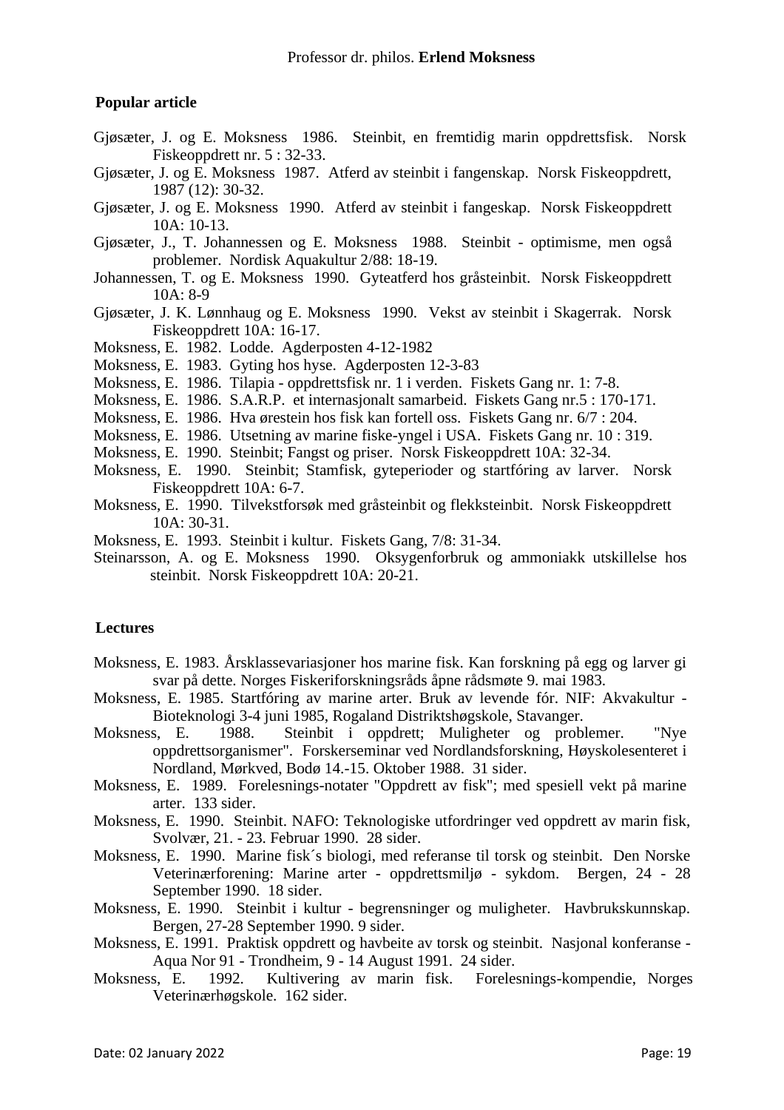#### **Popular article**

- Gjøsæter, J. og E. Moksness 1986. Steinbit, en fremtidig marin oppdrettsfisk. Norsk Fiskeoppdrett nr. 5 : 32-33.
- Gjøsæter, J. og E. Moksness 1987. Atferd av steinbit i fangenskap. Norsk Fiskeoppdrett, 1987 (12): 30-32.
- Gjøsæter, J. og E. Moksness 1990. Atferd av steinbit i fangeskap. Norsk Fiskeoppdrett 10A: 10-13.
- Gjøsæter, J., T. Johannessen og E. Moksness 1988. Steinbit optimisme, men også problemer. Nordisk Aquakultur 2/88: 18-19.
- Johannessen, T. og E. Moksness 1990. Gyteatferd hos gråsteinbit. Norsk Fiskeoppdrett 10A: 8-9
- Gjøsæter, J. K. Lønnhaug og E. Moksness 1990. Vekst av steinbit i Skagerrak. Norsk Fiskeoppdrett 10A: 16-17.
- Moksness, E. 1982. Lodde. Agderposten 4-12-1982
- Moksness, E. 1983. Gyting hos hyse. Agderposten 12-3-83
- Moksness, E. 1986. Tilapia oppdrettsfisk nr. 1 i verden. Fiskets Gang nr. 1: 7-8.
- Moksness, E. 1986. S.A.R.P. et internasjonalt samarbeid. Fiskets Gang nr.5 : 170-171.
- Moksness, E. 1986. Hva ørestein hos fisk kan fortell oss. Fiskets Gang nr. 6/7 : 204.
- Moksness, E. 1986. Utsetning av marine fiske-yngel i USA. Fiskets Gang nr. 10 : 319.
- Moksness, E. 1990. Steinbit; Fangst og priser. Norsk Fiskeoppdrett 10A: 32-34.
- Moksness, E. 1990. Steinbit; Stamfisk, gyteperioder og startfóring av larver. Norsk Fiskeoppdrett 10A: 6-7.
- Moksness, E. 1990. Tilvekstforsøk med gråsteinbit og flekksteinbit. Norsk Fiskeoppdrett 10A: 30-31.
- Moksness, E. 1993. Steinbit i kultur. Fiskets Gang, 7/8: 31-34.
- Steinarsson, A. og E. Moksness 1990. Oksygenforbruk og ammoniakk utskillelse hos steinbit. Norsk Fiskeoppdrett 10A: 20-21.

#### **Lectures**

- Moksness, E. 1983. Årsklassevariasjoner hos marine fisk. Kan forskning på egg og larver gi svar på dette. Norges Fiskeriforskningsråds åpne rådsmøte 9. mai 1983.
- Moksness, E. 1985. Startfóring av marine arter. Bruk av levende fór. NIF: Akvakultur Bioteknologi 3-4 juni 1985, Rogaland Distriktshøgskole, Stavanger.
- Moksness, E. 1988. Steinbit i oppdrett; Muligheter og problemer. "Nye oppdrettsorganismer". Forskerseminar ved Nordlandsforskning, Høyskolesenteret i Nordland, Mørkved, Bodø 14.-15. Oktober 1988. 31 sider.
- Moksness, E. 1989. Forelesnings-notater "Oppdrett av fisk"; med spesiell vekt på marine arter. 133 sider.
- Moksness, E. 1990. Steinbit. NAFO: Teknologiske utfordringer ved oppdrett av marin fisk, Svolvær, 21. - 23. Februar 1990. 28 sider.
- Moksness, E. 1990. Marine fisk´s biologi, med referanse til torsk og steinbit. Den Norske Veterinærforening: Marine arter - oppdrettsmiljø - sykdom. Bergen, 24 - 28 September 1990. 18 sider.
- Moksness, E. 1990. Steinbit i kultur begrensninger og muligheter. Havbrukskunnskap. Bergen, 27-28 September 1990. 9 sider.
- Moksness, E. 1991. Praktisk oppdrett og havbeite av torsk og steinbit. Nasjonal konferanse Aqua Nor 91 - Trondheim, 9 - 14 August 1991. 24 sider.
- Moksness, E. 1992. Kultivering av marin fisk. Forelesnings-kompendie, Norges Veterinærhøgskole. 162 sider.